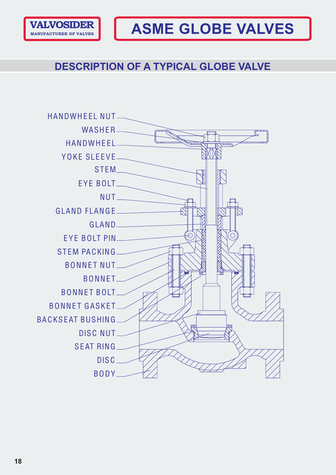

# **DESCRIPTION OF A TYPICAL GLOBE VALVE**

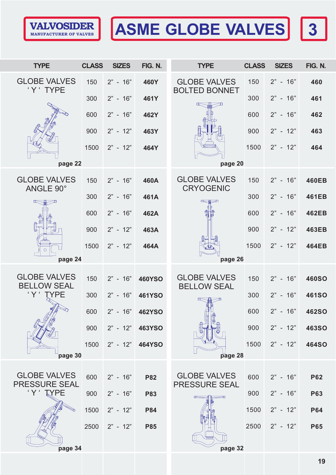

# **ASME GLOBE VALVES 3**

|--|

| <b>TYPE</b>                                 | <b>CLASS</b> | <b>SIZES</b> | FIG. N.       | <b>TYPE</b>                                 | <b>CLASS</b> | <b>SIZES</b> | FIG. N.      |
|---------------------------------------------|--------------|--------------|---------------|---------------------------------------------|--------------|--------------|--------------|
| <b>GLOBE VALVES</b><br>'Y' TYPE             | 150          | $2" - 16"$   | 460Y          | <b>GLOBE VALVES</b><br><b>BOLTED BONNET</b> | 150          | $2" - 16"$   | 460          |
|                                             | 300          | $2" - 16"$   | 461Y          |                                             | 300          | $2" - 16"$   | 461          |
|                                             | 600          | $2" - 16"$   | 462Y          |                                             | 600          | $2" - 16"$   | 462          |
|                                             | 900          | $2" - 12"$   | 463Y          |                                             | 900          | $2" - 12"$   | 463          |
|                                             | 1500         | $2" - 12"$   | 464Y          |                                             | 1500         | $2" - 12"$   | 464          |
| page 22                                     |              |              |               | page 20                                     |              |              |              |
| <b>GLOBE VALVES</b><br>ANGLE 90°            | 150          | $2" - 16"$   | 460A          | <b>GLOBE VALVES</b><br><b>CRYOGENIC</b>     | 150          | $2" - 16"$   | <b>460EB</b> |
| 一                                           | 300          | $2" - 16"$   | 461A          | <b>Retain</b>                               | 300          | $2" - 16"$   | 461EB        |
|                                             | 600          | $2" - 16"$   | 462A          |                                             | 600          | $2" - 16"$   | <b>462EB</b> |
|                                             | 900          | $2" - 12"$   | 463A          |                                             | 900          | $2" - 12"$   | <b>463EB</b> |
| ◯                                           | 1500         | $2" - 12"$   | 464A          |                                             | 1500         | $2" - 12"$   | <b>464EB</b> |
| page 24                                     |              |              |               | page 26                                     |              |              |              |
| <b>GLOBE VALVES</b><br><b>BELLOW SEAL</b>   | 150          | $2" - 16"$   | <b>460YSO</b> | <b>GLOBE VALVES</b><br><b>BELLOW SEAL</b>   | 150          | $2" - 16"$   | <b>460SO</b> |
| 'Y' TYPE                                    | 300          | $2" - 16"$   | <b>461YSO</b> |                                             | 300          | $2" - 16"$   | <b>461SO</b> |
|                                             | 600          | 2"<br>$-16"$ | <b>462YSO</b> |                                             | 600          | 2"<br>$-16"$ | 462SO        |
|                                             | 900          | $2" - 12"$   | <b>463YSO</b> |                                             | 900          | $2" - 12"$   | <b>463SO</b> |
|                                             | 1500         | $2" - 12"$   | <b>464YSO</b> |                                             | 1500         | $2" - 12"$   | <b>464SO</b> |
| page 30                                     |              |              |               | page 28                                     |              |              |              |
| <b>GLOBE VALVES</b><br><b>PRESSURE SEAL</b> | 600          | $2" - 16"$   | <b>P82</b>    | <b>GLOBE VALVES</b>                         | 600          | $2" - 16"$   | <b>P62</b>   |
| 'Y' TYPE                                    | 900          | $2" - 16"$   | <b>P83</b>    | <b>PRESSURE SEAL</b>                        | 900          | $2" - 16"$   | <b>P63</b>   |
|                                             | 1500         | $2" - 12"$   | <b>P84</b>    |                                             | 1500         | $2" - 12"$   | <b>P64</b>   |
|                                             | 2500         | $2" - 12"$   | <b>P85</b>    |                                             | 2500         | $2" - 12"$   | <b>P65</b>   |
| page 34                                     |              |              |               | page 32                                     |              |              |              |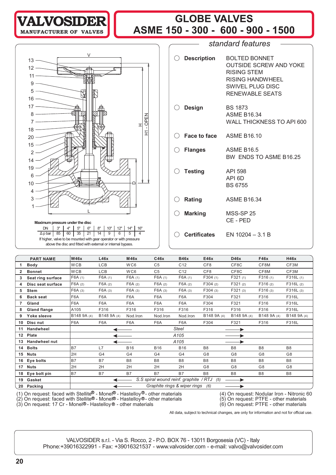# **GLOBE VALVES ASME 150 - 300 - 600 - 900 - 1500 VALVOSIDER MANUFACTURER OF** *standard features* ! **Description** BOLTED BONNET OUTSIDE SCREW AND YOKE V



If higher, valve to be mounted with gear operator or with pressure above the disc and fitted with external or internal bypass.

| $\bigcirc$ Description     | <b>BOLTED BONNET</b><br>OUTSIDE SCREW AND YOKE<br>RISING STEM<br>RISING HANDWHFFI<br><b>SWIVEL PLUG DISC</b><br><b>RENEWABLE SEATS</b> |
|----------------------------|----------------------------------------------------------------------------------------------------------------------------------------|
| $\bigcirc$ Design          | <b>BS 1873</b><br><b>ASME B1634</b><br>WALL THICKNESS TO API 600                                                                       |
| C Face to face ASME B16.10 |                                                                                                                                        |
| $\bigcirc$ Flanges         | <b>ASME B16.5</b><br>BW ENDS TO ASME B16.25                                                                                            |
| $\bigcirc$ Testing         | API 598<br>API 6D<br><b>BS 6755</b>                                                                                                    |
| $\bigcirc$ Rating          | <b>ASME B16.34</b>                                                                                                                     |
| $\bigcirc$ Marking         | <b>MSS-SP 25</b><br>CF-PFD                                                                                                             |
|                            | $\bigcirc$ Certificates EN 10204 - 3.1 B                                                                                               |

|                  | <b>PART NAME</b>                                                                                                | <b>W46x</b> | L46x             | M46x             | C46x           | <b>B46x</b>                            | E46x            | D46x           | <b>F46x</b>    | <b>H46x</b>                                  |
|------------------|-----------------------------------------------------------------------------------------------------------------|-------------|------------------|------------------|----------------|----------------------------------------|-----------------|----------------|----------------|----------------------------------------------|
|                  | <b>Body</b>                                                                                                     | <b>WCB</b>  | <b>LCB</b>       | WC6              | C <sub>5</sub> | C <sub>12</sub>                        | CF <sub>8</sub> | CF8C           | CF8M           | CF3M                                         |
| 2                | <b>Bonnet</b>                                                                                                   | <b>WCB</b>  | LCB              | WC6              | C <sub>5</sub> | C <sub>12</sub>                        | CF8             | CF8C           | CF8M           | CF3M                                         |
|                  | Seat ring surface                                                                                               | F6A(1)      | F6A(1)           | F6A(1)           | F6A(1)         | F6A(1)                                 | F304(1)         | F321(1)        | F316(1)        | F316L(1)                                     |
| 4                | Disc seat surface                                                                                               | F6A(2)      | F6A(2)           | F6A(2)           | F6A(2)         | F6A(2)                                 | F304(2)         | F321(2)        | F316(2)        | F316L(2)                                     |
| 5                | <b>Stem</b>                                                                                                     | F6A (3)     | F6A (3)          | F6A(3)           | F6A(3)         | F6A(3)                                 | F304(3)         | F321(3)        | F316(3)        | F316L(3)                                     |
| 6                | <b>Back seat</b>                                                                                                | F6A         | F6A              | F <sub>6</sub> A | F6A            | F6A                                    | F304            | F321           | F316           | F316L                                        |
| 7                | Gland                                                                                                           | F6A         | F <sub>6</sub> A | F <sub>6</sub> A | F6A            | F <sub>6</sub> A                       | F304            | F321           | F316           | F316L                                        |
| 8                | <b>Gland flange</b>                                                                                             | A105        | F316             | F316             | F316           | F316                                   | F316            | F316           | F316           | F316L                                        |
| 9                | Yoke sleeve                                                                                                     | B148 9A (4) | B148 9A (4)      | Nod.Iron         | Nod.Iron       | Nod.Iron                               | B148 9A (4)     | B148 9A (4)    | B148 9A (4)    | B148 9A (4)                                  |
| 10               | Disc nut                                                                                                        | F6A         | F6A              | F6A              | F6A            | F6A                                    | F304            | F321           | F316           | F316L                                        |
| 11               | Handwheel                                                                                                       |             |                  |                  |                | Steel                                  |                 | ▶              |                |                                              |
| 12 <sup>12</sup> | Plate                                                                                                           |             |                  |                  |                | A105                                   |                 |                |                |                                              |
| 13               | <b>Handwheel nut</b>                                                                                            |             |                  |                  |                | A <sub>105</sub>                       |                 |                |                |                                              |
| 14               | <b>Bolts</b>                                                                                                    | <b>B7</b>   | L7               | <b>B16</b>       | <b>B16</b>     | <b>B16</b>                             | B <sub>8</sub>  | B <sub>8</sub> | B <sub>8</sub> | B <sub>8</sub>                               |
| 15               | <b>Nuts</b>                                                                                                     | 2H          | G <sub>4</sub>   | G4               | G4             | G4                                     | G8              | G <sub>8</sub> | G8             | G <sub>8</sub>                               |
| 16               | Eye bolts                                                                                                       | <b>B7</b>   | <b>B7</b>        | B <sub>8</sub>   | B <sub>8</sub> | B <sub>8</sub>                         | B <sub>8</sub>  | B <sub>8</sub> | B <sub>8</sub> | B <sub>8</sub>                               |
| 17               | <b>Nuts</b>                                                                                                     | 2H          | 2H               | 2H               | 2H             | 2H                                     | G <sub>8</sub>  | G <sub>8</sub> | G8             | G <sub>8</sub>                               |
| 18               | Eye bolt pin                                                                                                    | <b>B7</b>   | <b>B7</b>        | <b>B7</b>        | <b>B7</b>      | <b>B7</b>                              | B <sub>8</sub>  | B <sub>8</sub> | B <sub>8</sub> | B <sub>8</sub>                               |
| 19               | Gasket                                                                                                          |             |                  |                  |                | S.S spiral wound reinf. graphite / RTJ | (5)             |                |                |                                              |
| 20               | Packing                                                                                                         |             |                  |                  |                | Graphite rings & wiper rings           | (6)             |                |                |                                              |
|                  | $(1)$ On request forest with Otellite $\mathbb{R}$ . Mone $\mathbb{R}$ . Heatellaw $\mathbb{R}$ ether moterials |             |                  |                  |                |                                        |                 |                |                | (4) On required, Nedular lines - Nitrenia CO |

(1) On request: faced with Stellite<sup>ig</sup> - Monel<sup>ig</sup> - Hastelloy<sup>®</sup> - other materials (4) On request: Nodular Iron - Nitronic 60

(2) On request: faced with Stellite® - Monel® - Hastelloy®- other materials  $(5)$  On request: PTFE - other materials

(3) On request: 17 Cr - Monel®- Hastelloy® - other materials (6) On request: PTFE - other materials

All data, subject to technical changes, are only for information and not for official use.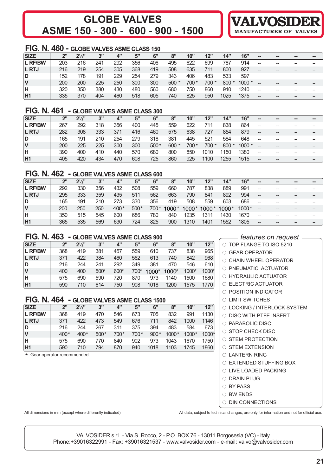# **GLOBE VALVES ASME 150 - 300 - 600 - 900 - 1500**

# **FIG. N. 460 - GLOBE VALVES ASME CLASS 150**

| <b>SIZE</b>    | ייר | $2\frac{1}{2}$ | 3"  | 4"  | 5"  | 6"  | 8"     | 10"  | 12"   | 14"    | 16"     | $\blacksquare$ | $\sim$ | -- | --                       |
|----------------|-----|----------------|-----|-----|-----|-----|--------|------|-------|--------|---------|----------------|--------|----|--------------------------|
| <b>L RF/BW</b> | 203 | 216            | 241 | 292 | 356 | 406 | 495    | 622  | 699   | 787    | 914     | $-$            |        |    | $\overline{\phantom{a}}$ |
| <b>L RTJ</b>   | 216 | 219            | 254 | 305 | 368 | 419 | 508    | 635  | 711   | 800    | 927     | $-$            | $-$    | -- | --                       |
| D              | 152 | 178            | 191 | 229 | 254 | 279 | 343    | 406  | 483   | 533    | 597     |                |        |    |                          |
| V              | 200 | 200            | 225 | 250 | 300 | 300 | $500*$ | 700* | 700 * | $800*$ | $1000*$ |                | --     |    | $- -$                    |
| н              | 320 | 350            | 380 | 430 | 480 | 560 | 680    | 750  | 860   | 910    | 1240    | --             | --     |    | --                       |
| H1             | 335 | 370            | 404 | 460 | 518 | 605 | 740    | 825  | 950   | 1025   | 1375    |                |        |    |                          |

# **FIG. N. 461 - GLOBE VALVES ASME CLASS 300**

| <b>SIZE</b>    | 2"  | $2\frac{1}{2}$ | 2"  | 4"  | 5"  | 6"     | 8"      | 10"   | 12"   | 14"    | 16"     | $\blacksquare$           | $\blacksquare$ | -- | $\blacksquare$ |
|----------------|-----|----------------|-----|-----|-----|--------|---------|-------|-------|--------|---------|--------------------------|----------------|----|----------------|
| <b>L RF/BW</b> | 267 | 292            | 318 | 356 | 400 | 445    | 559     | 622   | 711   | 838    | 864     |                          |                |    | --             |
| <b>L RTJ</b>   | 282 | 308            | 333 | 371 | 416 | 460    | 575     | 638   | 727   | 854    | 879     | $\overline{\phantom{m}}$ |                |    | --             |
| D              | 165 | 191            | 210 | 254 | 279 | 318    | 381     | 445   | 521   | 584    | 648     |                          |                |    | --             |
|                | 200 | 225            | 225 | 300 | 300 | $500*$ | $600 *$ | 700 * | 700 * | $800*$ | $1000*$ |                          |                |    | --             |
| н              | 390 | 400            | 410 | 440 | 570 | 680    | 800     | 850   | 1010  | 1150   | 1380    |                          |                |    | --             |
| H1             | 405 | 420            | 434 | 470 | 608 | 725    | 860     | 925   | 1100  | 1255   | 1515    |                          |                |    | --             |

#### **FIG. N. 462 - GLOBE VALVES ASME CLASS 600**

| SIZE         | 2"  | $2^{1/2"}$ | 3"  | 4"     | 5"     | 6"     | 8"    | 10"     | 12"   | 14"     | 16"     | $\blacksquare$           | $\sim$ | -- | -- |
|--------------|-----|------------|-----|--------|--------|--------|-------|---------|-------|---------|---------|--------------------------|--------|----|----|
| L RF/BW      | 292 | 330        | 356 | 432    | 508    | 559    | 660   | 787     | 838   | 889     | 991     |                          |        |    |    |
| <b>L RTJ</b> | 295 | 333        | 359 | 435    | 511    | 562    | 663   | 790     | 841   | 892     | 994     |                          |        |    | -- |
| ID.          | 165 | 191        | 210 | 273    | 330    | 356    | 419   | 508     | 559   | 603     | 686     | --                       |        |    | -- |
| IV           | 200 | 250        | 250 | $400*$ | $500*$ | $700*$ | 1000* | $1000*$ | 1000* | $1000*$ | $1000*$ | $- -$                    | --     | -- | -- |
| ΙH           | 350 | 515        | 545 | 600    | 686    | 780    | 840   | 1235    | 1311  | 1430    | 1670    | $\overline{\phantom{a}}$ |        |    |    |
| <b>H1</b>    | 365 | 535        | 569 | 630    | 724    | 825    | 900   | 1310    | 1401  | 1552    | 1805    |                          |        |    |    |

# **FIG. N. 463 - GLOBE VALVES ASME CLASS 900**

| <b>SIZE</b>    | ን"  | $2\frac{1}{2}$ | 3"   | 4"   | 5"   | 6"      | 8"    | 10"   | 12"   |
|----------------|-----|----------------|------|------|------|---------|-------|-------|-------|
| <b>L RF/BW</b> | 368 | 419            | 381  | 457  | 559  | 610     | 737   | 838   | 965   |
| <b>L RTJ</b>   | 371 | 422            | 384  | 460  | 562  | 613     | 740   | 842   | 968   |
| D              | 216 | 244            | 241  | 292  | 349  | 381     | 470   | 546   | 610   |
| <b>V</b>       | 400 | 400            | 500* | 600* | 700* | $1000*$ | 1000* | 1000* | 1000* |
| Iн             | 575 | 690            | 590  | 720  | 870  | 973     | 1140  | 1500  | 1680  |
| H1             | 590 | 710            | 614  | 750  | 908  | 1018    | 1200  | 1575  | 1770  |

# **FIG. N. 464 - GLOBE VALVES ASME CLASS 1500**

| <b>SIZE</b>    | ን"     | $2\frac{1}{2}$ | 3"     | 4"   | 5"   | 6"     | 8"      | 10"     | 12"   |
|----------------|--------|----------------|--------|------|------|--------|---------|---------|-------|
| <b>L RF/BW</b> | 368    | 419            | 470    | 546  | 673  | 705    | 832     | 991     | 1130  |
| L RTJ          | 371    | 422            | 473    | 549  | 676  | 711    | 842     | 1000    | 1146  |
| ID.            | 216    | 244            | 267    | 311  | 375  | 394    | 483     | 584     | 673   |
| <b>V</b>       | $400*$ | $400*$         | $500*$ | 700* | 700* | $900*$ | $1000*$ | $1000*$ | 1000* |
| lн             | 575    | 690            | 770    | 840  | 902  | 973    | 1043    | 1670    | 1750  |
| H1             | 590    | 710            | 794    | 870  | 940  | 1018   | 1103    | 1745    | 1860  |

\* Gear operator recommended

*features on request*

**VALVOSIDE** 

**MANUFACTURER OF** 

| $\circ$ TOP FLANGE TO ISO 5210                                 |
|----------------------------------------------------------------|
| $\circ$ GEAR OPERATOR                                          |
| $\bigcirc$ CHAIN WHEEL OPERATOR                                |
| $\circ$ PNEUMATIC ACTUATOR                                     |
| O HYDRAULIC ACTUATOR                                           |
| $\circ$ ELECTRIC ACTUATOR                                      |
| $\cap$ POSITION INDICATOR                                      |
| ○ LIMIT SWITCHES                                               |
| ○ LOCKING / INTERLOCK SYSTEM                                   |
| $\circ$ DISC WITH PTFE INSERT                                  |
| $\circ$ PARABOLIC DISC                                         |
| $\circ$ STOP CHECK DISC                                        |
| $\circ$ STEM PROTECTION                                        |
| $\circ$ STEM EXTENSION                                         |
| O LANTERN RING                                                 |
| $\circ$ EXTENDED STUFFING BOX                                  |
| ○ LIVE LOADED PACKING                                          |
| $\circ$ DRAIN PLUG                                             |
| ○ BY PASS                                                      |
| $\cap$ BW ENDS                                                 |
| $\circ$ DIN CONNECTIONS                                        |
| inical changes are only for information and not for official i |

All dimensions in mm (except where differently indicated) <br>All data, subject to technical changes, are only for information and not for official use.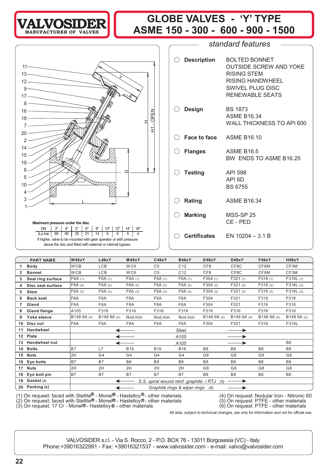

# **GLOBE VALVES - 'Y' TYPE** LVOSIDER | GLOBL VALVLS - I IIFL<br>
ASME 150 - 300 - 600 - 900 - 1500



| <b>BOLTED BONNET</b><br><b>OUTSIDE SCREW AND YOKE</b><br><b>RISING STEM</b><br><b>RISING HANDWHEEL</b><br>SWIVEL PLUG DISC<br><b>RENEWABLE SEATS</b>             |
|------------------------------------------------------------------------------------------------------------------------------------------------------------------|
| <b>BS 1873</b><br><b>ASME B16.34</b><br><b>WALL THICKNESS TO API 600</b>                                                                                         |
|                                                                                                                                                                  |
| <b>ASME B16.5</b><br>BW ENDS TO ASME B16.25                                                                                                                      |
| API 598<br>API <sub>6D</sub><br><b>BS 6755</b>                                                                                                                   |
| <b>ASME B16.34</b>                                                                                                                                               |
| <b>MSS-SP 25</b><br>CE-PED                                                                                                                                       |
| $\bigcirc$ Certificates EN 10204 - 3.1 B                                                                                                                         |
| $\bigcirc$ Description<br>$\bigcirc$ Design<br>C Face to face ASME B16.10<br>$\bigcirc$ Flanges<br>$\bigcirc$ Testing<br>$\bigcirc$ Rating<br>$\bigcirc$ Marking |

*standard features*

|    | <b>PART NAME</b>                                                                          | <b>W46xY</b>                                   | L46xY            | <b>M46xY</b>     | C46xY                                                                                                          | <b>B46xY</b>                     | E46xY                | D46xY          | <b>F46xY</b>   | <b>H46xY</b>   |  |
|----|-------------------------------------------------------------------------------------------|------------------------------------------------|------------------|------------------|----------------------------------------------------------------------------------------------------------------|----------------------------------|----------------------|----------------|----------------|----------------|--|
|    | <b>Body</b>                                                                               | <b>WCB</b>                                     | LCB              | WC6              | C <sub>5</sub>                                                                                                 | C <sub>12</sub>                  | CF <sub>8</sub>      | CF8C           | CF8M           | CF3M           |  |
| 2  | <b>Bonnet</b>                                                                             | <b>WCB</b>                                     | <b>LCB</b>       | WC6              | C <sub>5</sub>                                                                                                 | C <sub>12</sub>                  | CF <sub>8</sub>      | CF8C           | CF8M           | CF3M           |  |
| 3  | Seat ring surface                                                                         | F6A(1)                                         | F6A(1)           | F6A(1)           | F6A(1)                                                                                                         | F6A(1)                           | F304(1)              | F321(1)        | F316(1)        | F316L(1)       |  |
|    | Disc seat surface                                                                         | F6A(2)                                         | F6A(2)           | F6A(2)           | F6A(2)                                                                                                         | F6A(2)                           | F304(2)              | F321(2)        | F316(2)        | F316L(2)       |  |
| 5  | <b>Stem</b>                                                                               | F6A (3)                                        | F6A(3)           | F6A(3)           | F6A(3)                                                                                                         | F6A(3)                           | F304(3)              | F321(3)        | F316(3)        | F316L(3)       |  |
| 6  | <b>Back seat</b>                                                                          | F6A                                            | F <sub>6</sub> A | F <sub>6</sub> A | F <sub>6</sub> A                                                                                               | F6A                              | F304                 | F321           | F316           | F316           |  |
|    | Gland                                                                                     | F6A                                            | F <sub>6</sub> A | F <sub>6</sub> A | F <sub>6</sub> A                                                                                               | F <sub>6</sub> A                 | F304                 | F321           | F316           | F316           |  |
| 8  | <b>Gland flange</b>                                                                       | A105                                           | F316             | F316             | F316                                                                                                           | F316                             | F316                 | F316           | F316           | F316           |  |
| 9  | Yoke sleeve                                                                               | B148 9A (4)                                    | B148 9A (4)      | Nod.Iron         | Nod.Iron                                                                                                       | Nod.Iron                         | B148 9A (4)          | B148 9A (4)    | B148 9A (4)    | B148 9A (4)    |  |
| 10 | Disc nut                                                                                  | F6A                                            | F6A              | F6A              | F6A                                                                                                            | F <sub>6</sub> A                 | F304                 | F321           | F316           | F316L          |  |
| 11 | Handwheel                                                                                 |                                                |                  |                  |                                                                                                                | <b>Steel</b>                     |                      |                |                |                |  |
| 12 | Plate                                                                                     |                                                |                  |                  |                                                                                                                | A <sub>105</sub>                 |                      |                |                |                |  |
| 13 | Handwheel nut                                                                             |                                                |                  |                  |                                                                                                                | A <sub>105</sub>                 |                      |                |                | B <sub>8</sub> |  |
| 14 | <b>Bolts</b>                                                                              | <b>B7</b>                                      | L7               | <b>B16</b>       | <b>B16</b>                                                                                                     | <b>B16</b>                       | B <sub>8</sub>       | B <sub>8</sub> | B <sub>8</sub> | B <sub>8</sub> |  |
| 15 | <b>Nuts</b>                                                                               | 2H                                             | G4               | G4               | G4                                                                                                             | G4                               | G8                   | G <sub>8</sub> | G <sub>8</sub> | G <sub>8</sub> |  |
| 16 | Eye bolts                                                                                 | B7                                             | <b>B7</b>        | B <sub>8</sub>   | B <sub>8</sub>                                                                                                 | B <sub>8</sub>                   | B <sub>8</sub>       | B <sub>8</sub> | B <sub>8</sub> | B <sub>8</sub> |  |
| 17 | <b>Nuts</b>                                                                               | 2H                                             | 2H               | 2H               | 2H                                                                                                             | 2H                               | G <sub>8</sub>       | G <sub>8</sub> | G <sub>8</sub> | G <sub>8</sub> |  |
| 18 | Eye bolt pin                                                                              | B <sub>7</sub>                                 | <b>B7</b>        | <b>B7</b>        | <b>B7</b>                                                                                                      | <b>B7</b>                        | B <sub>8</sub>       | B <sub>8</sub> | B <sub>8</sub> | B <sub>8</sub> |  |
| 19 | Gasket (5)                                                                                | S.S. spiral wound reinf. graphite / RTJ<br>(5) |                  |                  |                                                                                                                |                                  |                      |                |                |                |  |
| 20 | Packing (6)                                                                               |                                                |                  |                  |                                                                                                                | Graphite rings & wiper rings (6) |                      |                |                |                |  |
|    | $\cdots$ $\cdots$ $\cdots$ $\cdots$ $\cdots$ $\cdots$ $\cdots$ $\cdots$ $\cdots$ $\cdots$ |                                                |                  | ക                | 100 - 100 Animals Animals Animals Animals Animals Animals Animals Animals Animals Animals Animals Animals Anim |                                  | $\sim$ $\sim$ $\sim$ |                |                |                |  |

(1) On request: faced with Stellite $^{\omega}$  - Monel $^{\omega}$  - Hastelloy $^{\omega}$  - other materials (4) On request: Nodular Iron - Nitronic 60

(2) On request: faced with Stellite® - Monel® - Hastelloy®- other materials (5) On request: PTFE - other materials (3) On request: 17 Cr - Monel®- Hastelloy® - other materials (6) On request: PTFE - other materials

All data, subject to technical changes, are only for information and not for official use.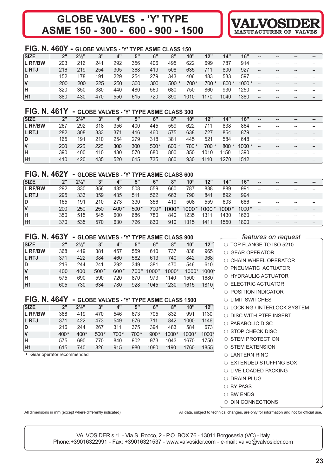# **GLOBE VALVES - 'Y' TYPE ASME 150 - 300 - 600 - 900 - 1500 VALVOSIDER**



# **FIG. N. 460Y - GLOBE VALVES - 'Y' TYPE ASME CLASS 150**

| <b>SIZE</b>  | 2"  | $2^{\frac{1}{2}''}$ | 2"  | 4"  | 5"  | 6"  | 8"     | 10"   | 12"   | 14"    | 16"     | $\sim$ | $\sim$         | -- | --    |
|--------------|-----|---------------------|-----|-----|-----|-----|--------|-------|-------|--------|---------|--------|----------------|----|-------|
| L RF/BW      | 203 | 216                 | 241 | 292 | 356 | 406 | 495    | 622   | 699   | 787    | 914     | --     | --             |    |       |
| <b>L RTJ</b> | 216 | 219                 | 254 | 305 | 368 | 419 | 508    | 635   | 711   | 800    | 927     | $- -$  | $\overline{a}$ |    | $- -$ |
| D            | 152 | 178                 | 191 | 229 | 254 | 279 | 343    | 406   | 483   | 533    | 597     | --     | --             | -- | $- -$ |
| IV           | 200 | 200                 | 225 | 250 | 300 | 300 | $500*$ | 700 * | 700 * | $800*$ | $1000*$ | --     | $\overline{a}$ |    | $- -$ |
| lΗ           | 320 | 350                 | 380 | 440 | 480 | 560 | 680    | 750   | 860   | 930    | 1250    | --     | --             |    |       |
| <b>H1</b>    | 380 | 430                 | 470 | 550 | 615 | 720 | 890    | 1010  | 1170  | 1040   | 1380    | $- -$  |                |    |       |

### **FIG. N. 461Y - GLOBE VALVES - 'Y' TYPE ASME CLASS 300**

| <b>SIZE</b>    | ייר | $2\frac{1}{2}$ | 2"  | 4"  | 5"  | 6"     | 8"      | 10"   | 12"   | 14"    | 16"    | $\sim$                   | -- | --    | $\qquad \qquad \blacksquare$ |
|----------------|-----|----------------|-----|-----|-----|--------|---------|-------|-------|--------|--------|--------------------------|----|-------|------------------------------|
| <b>L RF/BW</b> | 267 | 292            | 318 | 356 | 400 | 445    | 559     | 622   | 711   | 838    | 864    | --                       |    |       | $- -$                        |
| <b>L RTJ</b>   | 282 | 308            | 333 | 371 | 416 | 460    | 575     | 638   | 727   | 854    | 879    | $\overline{\phantom{a}}$ |    |       | $- -$                        |
| D              | 165 | 191            | 210 | 254 | 279 | 318    | 381     | 445   | 521   | 584    | 648    | $-$                      |    |       | $- -$                        |
| v              | 200 | 225            | 225 | 300 | 300 | $500*$ | $600 *$ | 700 * | 700 * | $800*$ | 1000 * | $-$                      |    |       | $\qquad \qquad -$            |
| н              | 390 | 400            | 410 | 430 | 570 | 680    | 800     | 850   | 1010  | 1150   | 1390   | $-$                      |    | $- -$ | $- -$                        |
| H1             | 410 | 420            | 435 | 520 | 615 | 735    | 860     | 930   | 1110  | 1270   | 1512   | $-$                      |    |       | $- -$                        |

### **FIG. N. 462Y - GLOBE VALVES - 'Y' TYPE ASME CLASS 600**

| <b>SIZE</b>  | 2"  | $2\frac{1}{2}$ " | 2"  | 4"     | 5"     | 6"   | 8"    | 10"   | 12"     | 14"     | 16"   | $\qquad \qquad \blacksquare$ | $\qquad \qquad \blacksquare$ | $\blacksquare$ | $\sim$ |
|--------------|-----|------------------|-----|--------|--------|------|-------|-------|---------|---------|-------|------------------------------|------------------------------|----------------|--------|
| L RF/BW      | 292 | 330              | 356 | 432    | 508    | 559  | 660   | 787   | 838     | 889     | 991   | --                           |                              |                |        |
| <b>L RTJ</b> | 295 | 333              | 359 | 435    | 511    | 562  | 663   | 790   | 841     | 892     | 994   | --                           |                              |                |        |
| D            | 165 | 191              | 210 | 273    | 330    | 356  | 419   | 508   | 559     | 603     | 686   | --                           |                              |                |        |
| IV           | 200 | 250              | 250 | $400*$ | $500*$ | 700* | 1000* | 1000* | $1000*$ | $1000*$ | 1000* | $\qquad \qquad \cdots$       |                              |                |        |
| ΙH           | 350 | 515              | 545 | 600    | 686    | 780  | 840   | 1235  | 1311    | 1430    | 1660  | --                           |                              |                |        |
| <b>H1</b>    | 370 | 535              | 570 | 630    | 726    | 830  | 910   | 1315  | 1411    | 1550    | 1800  | --                           |                              |                |        |

#### **FIG. N. 463Y - GLOBE VALVES - 'Y' TYPE ASME CLASS 900**

| <b>SIZE</b>    | 2"  | $2\frac{1}{2}$ | 3"     | 4"     | 5"     | 6"      | 8"    | 10"   | 12"  |
|----------------|-----|----------------|--------|--------|--------|---------|-------|-------|------|
| <b>L RF/BW</b> | 368 | 419            | 381    | 457    | 559    | 610     | 737   | 838   | 965  |
| <b>L RTJ</b>   | 371 | 422            | 384    | 460    | 562    | 613     | 740   | 842   | 968  |
| D              | 216 | 244            | 241    | 292    | 349    | 381     | 470   | 546   | 610  |
| ١V             | 400 | 400            | $500*$ | $600*$ | $700*$ | $1000*$ | 1000* | 1000* | 1000 |
| ΙH             | 575 | 690            | 590    | 720    | 870    | 973     | 1140  | 1500  | 1680 |
| IH1            | 605 | 730            | 634    | 780    | 928    | 1045    | 1230  | 1615  | 1810 |

# **FIG. N. 464Y - GLOBE VALVES - 'Y' TYPE ASME CLASS 1500**

| <b>SIZE</b> | 2"     | $2\frac{1}{2}$ | 3"     | 4"   | 5"   | 6"     | 8"    | 10"     | 12"   |
|-------------|--------|----------------|--------|------|------|--------|-------|---------|-------|
| L RF/BW     | 368    | 419            | 470    | 546  | 673  | 705    | 832   | 991     | 1130  |
| L RTJ       | 371    | 422            | 473    | 549  | 676  | 711    | 842   | 1000    | 1146  |
| ID.         | 216    | 244            | 267    | 311  | 375  | 394    | 483   | 584     | 673   |
| <b>V</b>    | $400*$ | $400*$         | $500*$ | 700* | 700* | $900*$ | 1000* | $1000*$ | 1000* |
| lн          | 575    | 690            | 770    | 840  | 902  | 973    | 1043  | 1670    | 1750  |
| <b>H1</b>   | 615    | 740            | 826    | 915  | 980  | 1080   | 1190  | 1760    | 1855  |

\* Gear operator recommended

*features on request*

| $\circlearrowright$ TOP FLANGE TO ISO 5210 |
|--------------------------------------------|
| $\circ$ GEAR OPERATOR                      |
| $\circ$ CHAIN WHEEL OPERATOR               |
| O PNEUMATIC ACTUATOR                       |
| $\circ$ HYDRAULIC ACTUATOR                 |
| ○ ELECTRIC ACTUATOR                        |
| $\circ$ POSITION INDICATOR                 |
| $\circ$ LIMIT SWITCHES                     |
| ○ LOCKING / INTERLOCK SYSTEM               |
| $\circ$ DISC WITH PTFE INSERT              |
| $\circ$ PARABOLIC DISC                     |
| $\circ$ STOP CHECK DISC                    |
| $\circ$ STEM PROTECTION                    |
| $\circ$ STEM EXTENSION                     |
| $\circ$ LANTERN RING                       |
| ○ EXTENDED STUFFING BOX                    |
| $\circ$ live loaded packing                |
| $\cap$ DRAIN PLUG                          |
| $\cap$ BY PASS                             |

- $\circ$  BW ENDS
- $\circ$  DIN CONNECTIONS

All dimensions in mm (except where differently indicated) and the changes, are only for information and not for official use.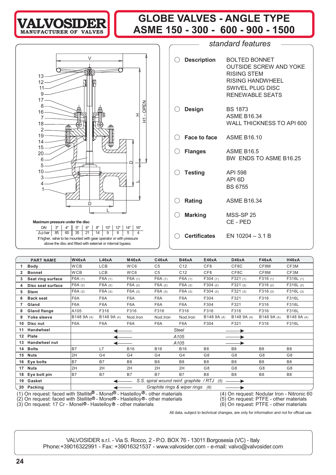# **VALVOSIDER MANUFACTURER OF VALVES**

# **GLOBE VALVES - ANGLE TYPE ASME 150 - 300 - 600 - 900 - 1500**

! **Description** BOLTED BONNET



If higher, valve to be mounted with gear operator or with pressure above the disc and fitted with external or internal bypass.

|                            | <b>OUTSIDE SCREW AND YOKE</b><br><b>RISING STEM</b><br><b>RISING HANDWHEEL</b><br><b>SWIVEL PLUG DISC</b><br><b>RENEWABLE SEATS</b> |
|----------------------------|-------------------------------------------------------------------------------------------------------------------------------------|
| $\bigcirc$ Design          | BS 1873<br><b>ASME B16.34</b><br>WALL THICKNESS TO API 600                                                                          |
| C Face to face ASME B16.10 |                                                                                                                                     |
| $\bigcirc$ Flanges         | <b>ASME B16.5</b><br>BW ENDS TO ASME B16.25                                                                                         |
| $\bigcirc$ Testing         | API 598<br>API 6D<br><b>BS 6755</b>                                                                                                 |
| $\bigcirc$ Rating          | ASME B16.34                                                                                                                         |
| $\bigcirc$ Marking         | <b>MSS-SP 25</b><br>CE - PED                                                                                                        |
|                            | $\bigcirc$ Certificates EN 10204 – 3.1 B                                                                                            |

*standard features*

|    | <b>PART NAME</b>     | <b>W46xA</b>                                                                                                                                                                                                                                                                             | L46xA            | <b>M46xA</b>     | C46xA                                   | <b>B46xA</b>     | E46xA           | D46xA          | <b>F46xA</b>   | <b>H46xA</b>   |  |  |  |
|----|----------------------|------------------------------------------------------------------------------------------------------------------------------------------------------------------------------------------------------------------------------------------------------------------------------------------|------------------|------------------|-----------------------------------------|------------------|-----------------|----------------|----------------|----------------|--|--|--|
|    | <b>Body</b>          | <b>WCB</b>                                                                                                                                                                                                                                                                               | <b>LCB</b>       | WC6              | C <sub>5</sub>                          | C <sub>12</sub>  | CF <sub>8</sub> | CF8C           | CF8M           | CF3M           |  |  |  |
| 2  | <b>Bonnet</b>        | <b>WCB</b>                                                                                                                                                                                                                                                                               | LCB              | WC6              | C <sub>5</sub>                          | C <sub>12</sub>  | CF <sub>8</sub> | CF8C           | CF8M           | CF3M           |  |  |  |
| 3  | Seat ring surface    | F6A(1)                                                                                                                                                                                                                                                                                   | F6A(1)           | F6A(1)           | F6A(1)                                  | F6A(1)           | F304(1)         | F321(1)        | F316(1)        | F316L(1)       |  |  |  |
| 4  | Disc seat surface    | F6A(2)                                                                                                                                                                                                                                                                                   | F6A(2)           | F6A(2)           | F6A(2)                                  | F6A(2)           | F304(2)         | F321(2)        | F316(2)        | F316L(2)       |  |  |  |
| 5  | <b>Stem</b>          | F6A (3)                                                                                                                                                                                                                                                                                  | F6A(3)           | F6A(3)           | F6A(3)                                  | F6A(3)           | F304(3)         | F321(3)        | F316(3)        | F316L (3)      |  |  |  |
| 6  | <b>Back seat</b>     | F6A                                                                                                                                                                                                                                                                                      | F6A              | F6A              | F <sub>6</sub> A                        | F <sub>6</sub> A | F304            | F321           | F316           | F316L          |  |  |  |
|    | Gland                | F6A                                                                                                                                                                                                                                                                                      | F <sub>6</sub> A | F <sub>6</sub> A | F6A                                     | F6A              | F304            | F321           | F316           | F316L          |  |  |  |
| 8  | <b>Gland flange</b>  | A105                                                                                                                                                                                                                                                                                     | F316             | F316             | F316                                    | F316             | F316            | F316           | F316           | F316L          |  |  |  |
| 9  | Yoke sleeve          | B148 9A (4)                                                                                                                                                                                                                                                                              | B148 9A (4)      | Nod.Iron         | Nod.Iron                                | Nod.Iron         | B148 9A (4)     | B148 9A (4)    | B148 9A (4)    | B148 9A (4)    |  |  |  |
| 10 | Disc nut             | F6A                                                                                                                                                                                                                                                                                      | F <sub>6</sub> A | F <sub>6</sub> A | F <sub>6</sub> A                        | F <sub>6</sub> A | F304            | F321           | F316           | F316L          |  |  |  |
| 11 | Handwheel            |                                                                                                                                                                                                                                                                                          | Steel            |                  |                                         |                  |                 |                |                |                |  |  |  |
|    | 12 Plate             |                                                                                                                                                                                                                                                                                          |                  |                  |                                         | A105             |                 |                |                |                |  |  |  |
| 13 | <b>Handwheel nut</b> |                                                                                                                                                                                                                                                                                          |                  |                  |                                         | A105             |                 |                |                |                |  |  |  |
| 14 | <b>Bolts</b>         | <b>B7</b>                                                                                                                                                                                                                                                                                | L7               | <b>B16</b>       | <b>B16</b>                              | <b>B16</b>       | B <sub>8</sub>  | B <sub>8</sub> | B <sub>8</sub> | B <sub>8</sub> |  |  |  |
| 15 | <b>Nuts</b>          | 2H                                                                                                                                                                                                                                                                                       | G4               | G4               | G4                                      | G4               | G8              | G <sub>8</sub> | G <sub>8</sub> | G8             |  |  |  |
| 16 | Eye bolts            | <b>B7</b>                                                                                                                                                                                                                                                                                | <b>B7</b>        | B <sub>8</sub>   | B <sub>8</sub>                          | B <sub>8</sub>   | B <sub>8</sub>  | B <sub>8</sub> | B <sub>8</sub> | B <sub>8</sub> |  |  |  |
| 17 | <b>Nuts</b>          | 2H                                                                                                                                                                                                                                                                                       | 2H               | 2H               | 2H                                      | 2H               | G <sub>8</sub>  | G <sub>8</sub> | G <sub>8</sub> | G <sub>8</sub> |  |  |  |
| 18 | Eye bolt pin         | B7                                                                                                                                                                                                                                                                                       | B7               | <b>B7</b>        | <b>B7</b>                               | <b>B7</b>        | B <sub>8</sub>  | B <sub>8</sub> | B <sub>8</sub> | B <sub>8</sub> |  |  |  |
| 19 | Gasket               |                                                                                                                                                                                                                                                                                          |                  |                  | S.S. spiral wound reinf. graphite / RTJ |                  | (5)             |                |                |                |  |  |  |
|    | 20 Packing           |                                                                                                                                                                                                                                                                                          |                  |                  | Graphite rings & wiper rings            |                  | (6)             |                |                |                |  |  |  |
|    |                      | (1) On request: faced with Stellite <sup>®</sup> - Monel <sup>®</sup> - Hastelloy <sup>®</sup> - other materials<br>(4) On request: Nodular Iron - Nitronic 60<br>(2) On request: faced with Stellite® - Monel® - Hastelloy® - other materials<br>(5) On request: PTFE - other materials |                  |                  |                                         |                  |                 |                |                |                |  |  |  |

(3) On request: 17 Cr - Monel®- Hastelloy® - other materials (6) On request: PTFE - other materials

All data, subject to technical changes, are only for information and not for official use.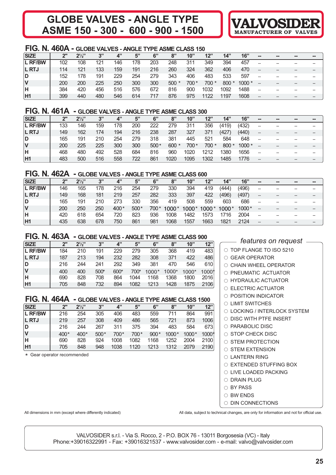# **GLOBE VALVES - ANGLE TYPE ASME 150 - 300 - 600 - 900 - 1500 VALVOSIDER**



### **FIG. N. 460A - GLOBE VALVES - ANGLE TYPE ASME CLASS 150**

| <b>SIZE</b>  | 2"  | $2^{1/2}$ | 3"  | 4"  | 5"  | 6"  | 8"     | 10"   | 12"   | 14"    | 16"     | $\sim$                   | $\blacksquare$ | -- | -- |
|--------------|-----|-----------|-----|-----|-----|-----|--------|-------|-------|--------|---------|--------------------------|----------------|----|----|
| L RF/BW      | 102 | 108       | 121 | 146 | 178 | 203 | 248    | 311   | 349   | 394    | 457     |                          |                |    |    |
| <b>L RTJ</b> | 114 | 121       | 133 | 159 | 191 | 216 | 260    | 324   | 362   | 406    | 470     | --                       | --             |    |    |
| D            | 152 | 178       | 191 | 229 | 254 | 279 | 343    | 406   | 483   | 533    | 597     | $-$                      | --             |    |    |
|              | 200 | 200       | 225 | 250 | 300 | 300 | $500*$ | 700 * | 700 * | $800*$ | $1000*$ | --                       | --             |    |    |
| н            | 384 | 420       | 456 | 516 | 576 | 672 | 816    | 900   | 1032  | 1092   | 1488    | $\overline{\phantom{a}}$ | --             |    |    |
| H1           | 399 | 440       | 480 | 546 | 614 | 717 | 876    | 975   | 1122  | 1197   | 1608    |                          |                |    |    |

# **FIG. N. 461A - GLOBE VALVES - ANGLE TYPE ASME CLASS 300**

| <b>SIZE</b>  | 2"  | $2^{1/2"}$ | 3"  | 4"  | 5"  | 6"     | 8"      | 10"   | 12"   | 14"    | 16"     | $\sim$ | -- | -- |
|--------------|-----|------------|-----|-----|-----|--------|---------|-------|-------|--------|---------|--------|----|----|
| L RF/BW      | 133 | 146        | 159 | 178 | 200 | 222    | 279     | 311   | 356   | (419)  | (432)   | --     |    |    |
| <b>L RTJ</b> | 149 | 162        | 174 | 194 | 216 | 238    | 287     | 327   | 371   | (427)  | (440)   |        |    |    |
| D            | 165 | 191        | 210 | 254 | 279 | 318    | 381     | 445   | 521   | 584    | 648     |        |    |    |
|              | 200 | 225        | 225 | 300 | 300 | $500*$ | $600 *$ | 700 * | 700 * | $800*$ | $1000*$ |        |    |    |
| н            | 468 | 480        | 492 | 528 | 684 | 816    | 960     | 1020  | 1212  | 1380   | 1656    |        |    | -- |
| H1           | 483 | 500        | 516 | 558 | 722 | 861    | 1020    | 1095  | 1302  | 1485   | 1776    |        | -- |    |

#### **FIG. N. 462A - GLOBE VALVES - ANGLE TYPE ASME CLASS 600**

| <b>SIZE</b>  | 2"  | $2^{1/2}$ | 3"  | 4"     | 5"     | 6"     | 8"      | 10"     | 12"     | 14"     | 16"   | $\sim$                   | -- | -- | -- |
|--------------|-----|-----------|-----|--------|--------|--------|---------|---------|---------|---------|-------|--------------------------|----|----|----|
| L RF/BW      | 146 | 165       | 178 | 216    | 254    | 279    | 330     | 394     | 419     | (444)   | (496) | --                       |    |    |    |
| <b>L RTJ</b> | 149 | 168       | 181 | 219    | 257    | 282    | 333     | 397     | 422     | (496)   | (497) | --                       |    |    |    |
| ID           | 165 | 191       | 210 | 273    | 330    | 356    | 419     | 508     | 559     | 603     | 686   | $\overline{\phantom{a}}$ |    |    |    |
| IV           | 200 | 250       | 250 | $400*$ | $500*$ | $700*$ | $1000*$ | $1000*$ | $1000*$ | $1000*$ | 1000* |                          |    |    |    |
| ΙH           | 420 | 618       | 654 | 720    | 823    | 936    | 1008    | 1482    | 1573    | 1716    | 2004  |                          |    |    |    |
| H1           | 435 | 638       | 678 | 750    | 861    | 981    | 1068    | 1557    | 1663    | 1821    | 2124  | --                       |    |    |    |

# **FIG. N. 463A - GLOBE VALVES - ANGLE TYPE ASME CLASS 900**

| <b>SIZE</b>    | 2"  | $2^{1/2}$ | 3"   | 4"   | 5"   | 6"      | 8"    | 10"   | 12"   |
|----------------|-----|-----------|------|------|------|---------|-------|-------|-------|
| <b>L RF/BW</b> | 184 | 210       | 191  | 229  | 279  | 305     | 368   | 419   | 483   |
| <b>L RTJ</b>   | 187 | 213       | 194  | 232  | 282  | 308     | 371   | 422   | 486   |
| D              | 216 | 244       | 241  | 292  | 349  | 381     | 470   | 546   | 610   |
| lV             | 400 | 400       | 500* | 600* | 700* | $1000*$ | 1000* | 1000* | 10001 |
| lΗ             | 690 | 828       | 708  | 864  | 1044 | 1168    | 1368  | 1800  | 2016  |
| H1             | 705 | 848       | 732  | 894  | 1082 | 1213    | 1428  | 1875  | 2106  |

#### **FIG. N. 464A - GLOBE VALVES - ANGLE TYPE ASME CLASS 1500**

| <b>SIZE</b>    | 2"     | $2^{1/3}$ | 3"     | $\mathbf{A}$ | 5"   | 6"     | 8"      | 10"     | 12"   |
|----------------|--------|-----------|--------|--------------|------|--------|---------|---------|-------|
| <b>L RF/BW</b> | 216    | 254       | 305    | 406          | 483  | 559    | 711     | 864     | 991   |
| <b>L RTJ</b>   | 219    | 257       | 308    | 409          | 486  | 565    | 721     | 873     | 1006  |
| ID.            | 216    | 244       | 267    | 311          | 375  | 394    | 483     | 584     | 673   |
| <b>V</b>       | $400*$ | $400*$    | $500*$ | $700*$       | 700* | $900*$ | $1000*$ | $1000*$ | 1000* |
| ΙH             | 690    | 828       | 924    | 1008         | 1082 | 1168   | 1252    | 2004    | 2100  |
| H1             | 705    | 848       | 948    | 1038         | 1120 | 1213   | 1312    | 2079    | 2190  |

\* Gear operator recommended

| $-$ features on request $\,$ -  |
|---------------------------------|
| $\circ$ TOP FLANGE TO ISO 5210  |
| $\bigcirc$ GEAR OPERATOR        |
| $\bigcirc$ CHAIN WHEEL OPERATOR |
| $\cap$ PNEUMATIC ACTUATOR       |
| $\bigcirc$ HYDRAULIC ACTUATOR   |
| $\bigcirc$ ELECTRIC ACTUATOR    |
| $\circ$ POSITION INDICATOR      |
| ◯ LIMIT SWITCHES                |
| ○ LOCKING / INTERLOCK SYSTEM    |
| $\circ$ DISC WITH PTFE INSERT   |
| $\circ$ PARABOLIC DISC          |
| $\circ$ STOP CHECK DISC         |
| $\circ$ STEM PROTECTION         |
| $\circ$ STEM EXTENSION          |
| $\bigcirc$ LANTERN RING         |
| ○ EXTENDED STUFFING BOX         |
| $\cap$ LIVE LOADED PACKING      |
| $\bigcirc$ DRAIN PLUG           |
| ○ BY PASS                       |
| $\circ$ BW ENDS                 |

 $\circ$  din connections

All dimensions in mm (except where differently indicated) <br>All data, subject to technical changes, are only for information and not for official use.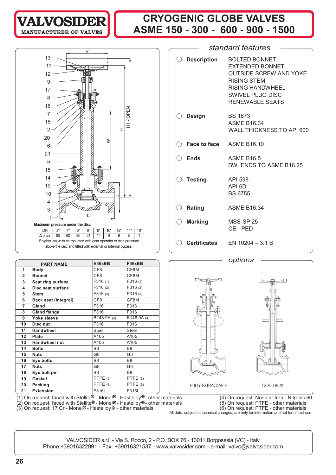# **CRYOGENIC GLOBE VALVES ASME 150 - 300 - 600 - 900 - 1500 VALVOSIDER**



**MANUFACTURER OF** 

|                 |                             |                       | F46xEB         |
|-----------------|-----------------------------|-----------------------|----------------|
|                 | <b>PART NAME</b>            | E46xEB                |                |
| 1               | Body                        | CF <sub>8</sub>       | CF8M           |
| $\overline{2}$  | <b>Bonnet</b>               | CF8                   | CF8M           |
| 3               | Seat ring surface           | F316(1)               | F316(1)        |
| 4               | Disc seat surface           | F316(2)               | F316(2)        |
| 5               | <b>Stem</b>                 | F316(3)               | F316 (3)       |
| 6               | <b>Back seat (integral)</b> | CF <sub>8</sub>       | CF8M           |
| 7               | Gland                       | F316                  | F316           |
| 8               | <b>Gland flange</b>         | F316                  | F316           |
| 9               | Yoke sleeve                 | B148 9A (4)           | B148 9A (4)    |
| 10              | Disc nut                    | F316                  | F316           |
| 11              | <b>Handwheel</b>            | <b>Steel</b>          | <b>Steel</b>   |
| 12 <sup>°</sup> | Plate                       | A105                  | A105           |
| 13              | Handwheel nut               | A105                  | A105           |
| 14              | <b>Bolts</b>                | B <sub>8</sub>        | B <sub>8</sub> |
| 15              | <b>Nuts</b>                 | G <sub>8</sub>        | G <sub>8</sub> |
| 16              | Eye bolts                   | B <sub>8</sub>        | B <sub>8</sub> |
| 17              | <b>Nuts</b>                 | G8                    | G8             |
| 18              | Eye bolt pin                | B <sub>8</sub>        | B <sub>8</sub> |
| 19              | Gasket                      | PTFE(5)               | PTFE(5)        |
| 20              | Packing                     | $\overline{PTFE}$ (6) | PTFE $(6)$     |
| 21              | <b>Extension</b>            | F316L                 | F316L          |

| $\bigcirc$ Description     | <b>BOLTED BONNET</b><br><b>EXTENDED BONNET</b><br><b>OUTSIDE SCREW AND YOKE</b><br><b>RISING STEM</b><br><b>RISING HANDWHEEL</b><br><b>SWIVEL PLUG DISC</b><br><b>RENEWABLE SEATS</b> |
|----------------------------|---------------------------------------------------------------------------------------------------------------------------------------------------------------------------------------|
| $\bigcirc$ Design          | <b>BS 1873</b><br><b>ASME B16.34</b><br>WALL THICKNESS TO API 600                                                                                                                     |
| C Face to face ASME B16.10 |                                                                                                                                                                                       |
| Ends                       | <b>ASME B16.5</b><br>BW ENDS TO ASME B16.25                                                                                                                                           |
| $\bigcirc$ Testing         | <b>API 598</b><br>API <sub>6</sub> D<br><b>BS 6755</b>                                                                                                                                |
| $\bigcirc$ Rating          | <b>ASME B16.34</b>                                                                                                                                                                    |
| $\bigcirc$ Marking         | MSS-SP 25<br>CE-PED                                                                                                                                                                   |
| <b>Certificates</b>        | EN $10204 - 3.1 B$                                                                                                                                                                    |

*standard features*





(1) On request: faced with Stellite $^\textsf{\textregistered}$  - Monel $^\textsf{\textregistered}$  - Hastelloy $^\textsf{\textregistered}$  other materials  $(4)$  On request: Nodular Iron - Nitronic 60 (2) On request: faced with Stellite® - Monel® - Hastelloy®- other materials (5) On request: PTFE - other materials

(3) On request: 17 Cr - Monel®- Hastelloy® - other materials (6) On request: PTFE - other materials All data, subject to technical changes, are only for information and not for official use.<br>All data, subject to technical changes, are only for information and not for official use.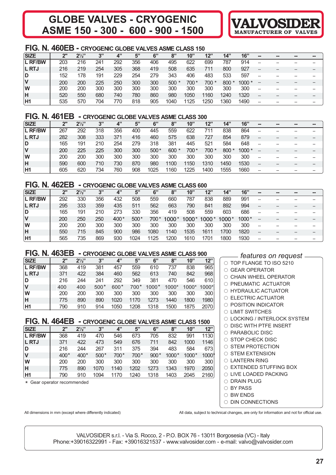# **GLOBE VALVES - CRYOGENIC VALVOSIDER ASME 150 - 300 - 600 - 900 - 1500**



#### **FIG. N. 460EB - CRYOGENIC GLOBE VALVES ASME CLASS 150**

| <b>SIZE</b>  | 2"  | $2^{1/2}$ | 3"  | 4"  | 5"  | 6"  | 8"   | 10"  | 12"   | 14"  | 16"     | $\blacksquare$ | -- | -- | $\blacksquare$ |
|--------------|-----|-----------|-----|-----|-----|-----|------|------|-------|------|---------|----------------|----|----|----------------|
| L RF/BW      | 203 | 216       | 241 | 292 | 356 | 406 | 495  | 622  | 699   | 787  | 914     |                |    |    |                |
| <b>L RTJ</b> | 216 | 219       | 254 | 305 | 368 | 419 | 508  | 635  | 711   | 800  | 927     | --             |    |    |                |
| D            | 152 | 178       | 191 | 229 | 254 | 279 | 343  | 406  | 483   | 533  | 597     | --             |    |    |                |
| V            | 200 | 200       | 225 | 250 | 300 | 300 | 500  | 700* | 700 * | 800  | $1000*$ |                |    |    |                |
| W            | 200 | 200       | 300 | 300 | 300 | 300 | 300  | 300  | 300   | 300  | 300     | --             |    |    |                |
| н            | 520 | 550       | 680 | 740 | 780 | 860 | 980  | 1050 | 1160  | 1240 | 1320    | --             |    |    |                |
| <b>H1</b>    | 535 | 570       | 704 | 770 | 818 | 905 | 1040 | 1125 | 1250  | 1360 | 1490    |                |    |    |                |

#### **FIG. N. 461EB - CRYOGENIC GLOBE VALVES ASME CLASS 300**

| <b>SIZE</b>  | ייר | $2\frac{1}{2}$ | 3"  | 4"  | 5"  | 6"     | 8"      | 10"   | 12"   | 14"    | 16"     | $\blacksquare$ | -- | -- | -- |
|--------------|-----|----------------|-----|-----|-----|--------|---------|-------|-------|--------|---------|----------------|----|----|----|
| L RF/BW      | 267 | 292            | 318 | 356 | 400 | 445    | 559     | 622   | 711   | 838    | 864     |                |    |    |    |
| <b>L RTJ</b> | 282 | 308            | 333 | 371 | 416 | 460    | 575     | 638   | 727   | 854    | 879     | --             |    |    |    |
| D            | 165 | 191            | 210 | 254 | 279 | 318    | 381     | 445   | 521   | 584    | 648     | --             |    |    |    |
| ۷            | 200 | 225            | 225 | 300 | 300 | $500*$ | $600 *$ | 700 * | 700 * | $800*$ | $1000*$ |                |    |    |    |
| W            | 200 | 200            | 300 | 300 | 300 | 300    | 300     | 300   | 300   | 300    | 300     |                |    |    |    |
| н            | 590 | 600            | 710 | 730 | 870 | 980    | 1100    | 1150  | 1310  | 1450   | 1530    | --             | -- |    |    |
| H1           | 605 | 620            | 734 | 760 | 908 | 1025   | 1160    | 1225  | 1400  | 1555   | 1660    |                |    |    |    |

### **FIG. N. 462EB - CRYOGENIC GLOBE VALVES ASME CLASS 600**

| <b>SIZE</b>    | 2"  | $2^{1/2}$ | 3"  | 4"     | 5"     | 6"     | 8"    | 10"   | 12"   | 14"     | 16"   | $\blacksquare$ | -- | -- | -- |
|----------------|-----|-----------|-----|--------|--------|--------|-------|-------|-------|---------|-------|----------------|----|----|----|
| L RF/BW        | 292 | 330       | 356 | 432    | 508    | 559    | 660   | 787   | 838   | 889     | 991   |                |    |    |    |
| <b>L RTJ</b>   | 295 | 333       | 359 | 435    | 511    | 562    | 663   | 790   | 841   | 892     | 994   | --             |    |    |    |
| D              | 165 | 191       | 210 | 273    | 330    | 356    | 419   | 508   | 559   | 603     | 686   |                |    |    |    |
| V              | 200 | 250       | 250 | $400*$ | $500*$ | $700*$ | 1000* | 1000* | 1000* | $1000*$ | 1000* |                |    |    |    |
| lW             | 200 | 200       | 300 | 300    | 300    | 300    | 300   | 300   | 300   | 300     | 300   | --             |    |    |    |
| Η              | 550 | 715       | 845 | 900    | 986    | 1080   | 1140  | 1535  | 1611  | 1700    | 1820  |                |    |    |    |
| H <sub>1</sub> | 565 | 735       | 869 | 930    | 1024   | 1125   | 1200  | 1610  | 1701  | 1800    | 1930  |                |    |    |    |

# **FIG. N. 463EB - CRYOGENIC GLOBE VALVES ASME CLASS 900**

| <b>SIZE</b>    | 2"  | $2^{1/2}$ | 3"     | 4"     | 5"     | 6"      | 8"    | 10"   | 12"   |
|----------------|-----|-----------|--------|--------|--------|---------|-------|-------|-------|
| <b>L RF/BW</b> | 368 | 419       | 381    | 457    | 559    | 610     | 737   | 838   | 965   |
| <b>L RTJ</b>   | 371 | 422       | 384    | 460    | 562    | 613     | 740   | 842   | 968   |
| ID.            | 216 | 244       | 241    | 292    | 349    | 381     | 470   | 546   | 610   |
| IV             | 400 | 400       | $500*$ | $600*$ | $700*$ | $1000*$ | 1000* | 1000* | 1000* |
| lW             | 200 | 200       | 300    | 300    | 300    | 300     | 300   | 300   | 300   |
| H              | 775 | 890       | 890    | 1020   | 1170   | 1273    | 1440  | 1800  | 1980  |
| H1             | 790 | 910       | 914    | 1050   | 1208   | 1318    | 1500  | 1875  | 2070  |

# **FIG. N. 464EB - CRYOGENIC GLOBE VALVES ASME CLASS 1500**

| <b>SIZE</b>    | 2"     | $2^{1/2}$ | 3"     | 4"   | 5"   | 6"     | 8"    | 10"   | 12"   |
|----------------|--------|-----------|--------|------|------|--------|-------|-------|-------|
| <b>L RF/BW</b> | 368    | 419       | 470    | 546  | 673  | 705    | 832   | 991   | 1130  |
| <b>L RTJ</b>   | 371    | 422       | 473    | 549  | 676  | 711    | 842   | 1000  | 1146  |
| D              | 216    | 244       | 267    | 311  | 375  | 394    | 483   | 584   | 673   |
| IV             | $400*$ | $400*$    | $500*$ | 700* | 700* | $900*$ | 1000* | 1000* | 1000* |
| lW             | 200    | 200       | 300    | 300  | 300  | 300    | 300   | 300   | 300   |
| H              | 775    | 890       | 1070   | 1140 | 1202 | 1273   | 1343  | 1970  | 2050  |
| H1             | 790    | 910       | 1094   | 1170 | 1240 | 1318   | 1403  | 2045  | 2160  |

\* Gear operator recommended

 $\bigcirc$  $\circ$  $\bigcirc$ EXTENDED STUFFING BOX

- $\circ$
- $\bigcirc$
- $\circ$
- $\circ$  din connections

All dimensions in mm (except where differently indicated) All data, subject to technical changes, are only for information and not for official use.

| —— features on request —        |
|---------------------------------|
| ○ TOP FLANGE TO ISO 5210        |
| ○ GEAR OPERATOR                 |
| $\bigcirc$ CHAIN WHEEL OPERATOR |
| O PNEUMATIC ACTUATOR            |
| O HYDRAULIC ACTUATOR            |
| ○ ELECTRIC ACTUATOR             |
| $\circ$ position indicator      |
| ○ LIMIT SWITCHES                |
| ○ LOCKING / INTERLOCK SYSTEM    |
| $\circ$ DISC WITH PTFE INSERT   |
| $\circ$ PARABOLIC DISC          |
| $\circ$ STOP CHECK DISC         |
| $\circ$ STEM PROTECTION         |
| $\circ$ STEM EXTENSION          |
| $\circ$ LANTERN RING            |
| ○ EXTENDED STUFFING BOX         |
| ○ LIVE LOADED PACKING           |
| $\circ$ DRAIN PLUG              |
| ○ BY PASS                       |
| $\circ$ BW ENDS                 |
| $\cap$ DINI CONNIECTIONIC       |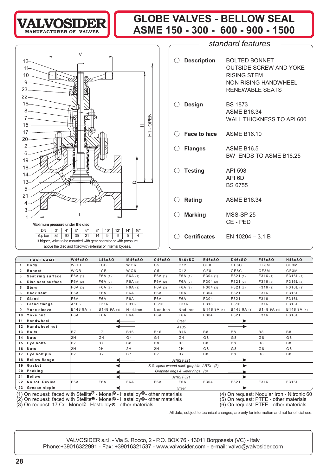

# **GLOBE VALVES - BELLOW SEAL TALVOSIDER** 8 SLODE VALVES - BELLOW SEAL



| $\bigcirc$ Description      | <b>BOLTED BONNET</b><br><b>OUTSIDE SCREW AND YOKE</b><br><b>RISING STEM</b><br>NON RISING HANDWHEEL<br><b>RENEWABLE SEATS</b> |
|-----------------------------|-------------------------------------------------------------------------------------------------------------------------------|
| ○ Design                    | <b>BS 1873</b><br><b>ASME B16.34</b><br>WALL THICKNESS TO API 600                                                             |
| () Face to face ASME B16.10 |                                                                                                                               |
| $\bigcirc$ Flanges          | <b>ASME B16.5</b><br>BW ENDS TO ASME B16.25                                                                                   |
| $\bigcirc$ Testing          | API 598<br>API <sub>6D</sub><br><b>BS 6755</b>                                                                                |
| $\bigcirc$ Rating           | <b>ASME B16.34</b>                                                                                                            |
| $\bigcirc$ Marking          | <b>MSS-SP 25</b><br>CE - PED                                                                                                  |
|                             | $\bigcirc$ Certificates EN 10204 – 3.1 B                                                                                      |
|                             |                                                                                                                               |

*standard features*

|                | <b>PART NAME</b>                                                                                                                                                                                                                                                                                                                                                                                  | <b>W46xSO</b>   | L46xSO           | <b>M46xSO</b>    | C46xSO           | <b>B46xSO</b>                               | E46xSO         | <b>D46xSO</b>  | F46xSO         | <b>H46xSO</b> |  |  |
|----------------|---------------------------------------------------------------------------------------------------------------------------------------------------------------------------------------------------------------------------------------------------------------------------------------------------------------------------------------------------------------------------------------------------|-----------------|------------------|------------------|------------------|---------------------------------------------|----------------|----------------|----------------|---------------|--|--|
|                | Body                                                                                                                                                                                                                                                                                                                                                                                              | W <sub>CB</sub> | <b>LCB</b>       | WC <sub>6</sub>  | C <sub>5</sub>   | C <sub>12</sub>                             | CF8            | CF8C           | CF8M           | CF3M          |  |  |
| 2              | <b>Bonnet</b>                                                                                                                                                                                                                                                                                                                                                                                     | W <sub>CB</sub> | <b>LCB</b>       | WC <sub>6</sub>  | C <sub>5</sub>   | C <sub>12</sub>                             | CF8            | CF8C           | CF8M           | CF3M          |  |  |
| 3              | Seat ring surface                                                                                                                                                                                                                                                                                                                                                                                 | F6A(1)          | F6A(1)           | F6A(1)           | F6A(1)           | F6A(1)                                      | F304(1)        | F321(1)        | F316(1)        | F316L(1)      |  |  |
| 4              | Disc seat surface                                                                                                                                                                                                                                                                                                                                                                                 | F6A(2)          | F6A(2)           | F6A(2)           | F6A(2)           | F6A(2)                                      | F304(2)        | F321(2)        | F316(2)        | F316L(2)      |  |  |
| 5              | Stem                                                                                                                                                                                                                                                                                                                                                                                              | F6A(3)          | F6A(3)           | F6A(3)           | F6A(3)           | F6A(3)                                      | F304(3)        | F321(3)        | F316(3)        | F316L(3)      |  |  |
| 6              | <b>Back seat</b>                                                                                                                                                                                                                                                                                                                                                                                  | F6A             | F <sub>6</sub> A | F <sub>6</sub> A | F <sub>6</sub> A | F <sub>6</sub> A                            | F304           | F321           | F316           | F316L         |  |  |
| $\overline{7}$ | Gland                                                                                                                                                                                                                                                                                                                                                                                             | F6A             | F6A              | F6A              | F6A              | F6A                                         | F304           | F321           | F316           | F316L         |  |  |
| 8              | Gland flange                                                                                                                                                                                                                                                                                                                                                                                      | A105            | F316             | F316             | F316             | F316                                        | F316           | F316           | F316           | F316L         |  |  |
| 9              | Yoke sleeve                                                                                                                                                                                                                                                                                                                                                                                       | B148 9A (4)     | B148 9A (4)      | Nod.Iron         | Nod.lron         | Nod.Iron                                    | B148 9A (4)    | B148 9A (4)    | B148 9A (4)    | B148 9A (4)   |  |  |
| 10             | Yoke nut                                                                                                                                                                                                                                                                                                                                                                                          | F6A             | F <sub>6</sub> A | F <sub>6</sub> A | F6A              | F6A                                         | F304           | F321           | F316           | F316L         |  |  |
| 11             | Handwheel                                                                                                                                                                                                                                                                                                                                                                                         |                 |                  |                  |                  | <b>Steel</b>                                |                |                |                |               |  |  |
| 12             | <b>Handwheel nut</b>                                                                                                                                                                                                                                                                                                                                                                              |                 | A105             |                  |                  |                                             |                |                |                |               |  |  |
| 13             | <b>Bolts</b>                                                                                                                                                                                                                                                                                                                                                                                      | <b>B7</b>       | L7               | <b>B16</b>       | <b>B16</b>       | <b>B16</b>                                  | <b>B8</b>      | B <sub>8</sub> | <b>B8</b>      | <b>B8</b>     |  |  |
| 14             | <b>Nuts</b>                                                                                                                                                                                                                                                                                                                                                                                       | 2H              | G <sub>4</sub>   | G <sub>4</sub>   | G <sub>4</sub>   | G <sub>4</sub>                              | G <sub>8</sub> | G <sub>8</sub> | G <sub>8</sub> | G8            |  |  |
| 15             | Eye bolts                                                                                                                                                                                                                                                                                                                                                                                         | <b>B7</b>       | <b>B7</b>        | B <sub>8</sub>   | <b>B8</b>        | <b>B8</b>                                   | <b>B8</b>      | <b>B8</b>      | <b>B8</b>      | <b>B8</b>     |  |  |
| 16             | <b>Nuts</b>                                                                                                                                                                                                                                                                                                                                                                                       | 2H              | 2H               | 2H               | 2H               | 2H                                          | G <sub>8</sub> | G <sub>8</sub> | G <sub>8</sub> | G8            |  |  |
| 17             | Eye bolt pin                                                                                                                                                                                                                                                                                                                                                                                      | <b>B7</b>       | <b>B7</b>        | <b>B7</b>        | <b>B7</b>        | <b>B7</b>                                   | <b>B8</b>      | <b>B8</b>      | <b>B8</b>      | <b>B8</b>     |  |  |
| 18             | <b>Bellow flange</b>                                                                                                                                                                                                                                                                                                                                                                              |                 |                  |                  |                  | A182 F321                                   |                |                |                |               |  |  |
| 19             | Gasket                                                                                                                                                                                                                                                                                                                                                                                            |                 |                  |                  |                  | S.S. spiral wound reinf. graphite / RTJ (5) |                |                |                |               |  |  |
| 20             | Packing                                                                                                                                                                                                                                                                                                                                                                                           |                 |                  |                  |                  | Graphite rings & wiper rings (6)            |                |                |                |               |  |  |
| 21             | <b>Bellow</b>                                                                                                                                                                                                                                                                                                                                                                                     |                 |                  |                  |                  | A182 F321                                   |                |                |                |               |  |  |
| 22             | No rot. Device                                                                                                                                                                                                                                                                                                                                                                                    | F6A             | F <sub>6</sub> A | F <sub>6</sub> A | F6A              | F6A                                         | F304           | F321           | F316           | F316L         |  |  |
|                | Grease nipple<br>23<br><b>Steel</b>                                                                                                                                                                                                                                                                                                                                                               |                 |                  |                  |                  |                                             |                |                |                |               |  |  |
|                | (1) On request: faced with Stellite <sup>®</sup> - Monel <sup>®</sup> - Hastelloy <sup>®</sup> - other materials<br>(4) On request: Nodular Iron - Nitronic 60<br>On request: faced with Stellite® - Monel® - Hastelloy® - other materials<br>On request: PTFE - other materials<br>(5)<br>(3) On request: 17 Cr - Monel®- Hastelloy® - other materials<br>(6) On request: PTFE - other materials |                 |                  |                  |                  |                                             |                |                |                |               |  |  |

All data, subject to technical changes, are only for information and not for official use.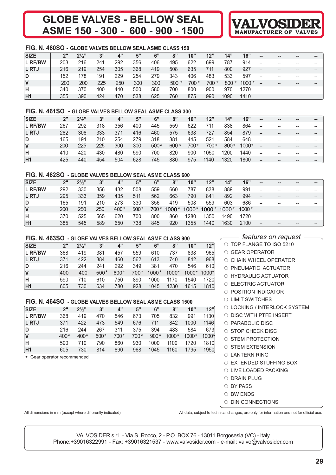# **GLOBE VALVES - ASME 150 - 300 - 600 - 900 - 1500**



#### **FIG. N. 460SO - GLOBE VALVES BELLOW SEAL ASME CLASS 150**

| <b>SIZE</b>    | 2"  | $2\frac{1}{2}$ | 3"  | 4"  | 5"  | 6"  | 8"     | 10"   | 12"    | 14"    | 16"      | $\sim$            | $\sim$ | $\sim$ | --    |
|----------------|-----|----------------|-----|-----|-----|-----|--------|-------|--------|--------|----------|-------------------|--------|--------|-------|
| L RF/BW        | 203 | 216            | 241 | 292 | 356 | 406 | 495    | 622   | 699    | 787    | 914      | --                |        | $- -$  | --    |
| <b>L RTJ</b>   | 216 | 219            | 254 | 305 | 368 | 419 | 508    | 635   | 711    | 800    | 927      | $\qquad \qquad -$ |        | $- -$  |       |
| D              | 152 | 178            | 191 | 229 | 254 | 279 | 343    | 406   | 483    | 533    | 597      | $-$               |        | $- -$  | --    |
| <b>V</b>       | 200 | 200            | 225 | 250 | 300 | 300 | $500*$ | 700 * | $700*$ | $800*$ | $1000 *$ |                   |        | $- -$  | $- -$ |
| ΙH             | 340 | 370            | 400 | 440 | 500 | 580 | 700    | 800   | 900    | 970    | 1270     | --                |        | $- -$  | --    |
| H <sub>1</sub> | 355 | 390            | 424 | 470 | 538 | 625 | 760    | 875   | 990    | 1090   | 1410     | $- -$             |        |        |       |

#### **FIG. N. 461SO - GLOBE VALVES BELLOW SEAL ASME CLASS 300**

| <b>SIZE</b>    | 2"  | $2\frac{1}{2}$ | 3"  | 4"  | 5"  | 6"     | 8"      | 10"  | 12"   | 14"    | 16"     | --             | $= -$ | $\qquad \qquad \blacksquare$ | -- |
|----------------|-----|----------------|-----|-----|-----|--------|---------|------|-------|--------|---------|----------------|-------|------------------------------|----|
| <b>L RF/BW</b> | 267 | 292            | 318 | 356 | 400 | 445    | 559     | 622  | 711   | 838    | 864     | --             |       |                              |    |
| <b>L RTJ</b>   | 282 | 308            | 333 | 371 | 416 | 460    | 575     | 638  | 727   | 854    | 879     | $\overline{a}$ |       | $\qquad \qquad \blacksquare$ |    |
| D              | 165 | 191            | 210 | 254 | 279 | 318    | 381     | 445  | 521   | 584    | 648     | --             |       |                              |    |
|                | 200 | 225            | 225 | 300 | 300 | $500*$ | $600 *$ | 700* | 700 * | $800*$ | $1000*$ |                |       |                              |    |
| н              | 410 | 420            | 430 | 480 | 590 | 700    | 820     | 900  | 1050  | 1200   | 1440    | --             |       | $- -$                        |    |
| H1             | 425 | 440            | 454 | 504 | 628 | 745    | 880     | 975  | 1140  | 1320   | 1800    | --             |       |                              |    |

#### **FIG. N. 462SO - GLOBE VALVES BELLOW SEAL ASME CLASS 600**

| <b>SIZE</b>    | 2"  | $2\frac{1}{2}$ | 3"  | 4"     | 5"     | 6"   | 8"      | 10"   | 12"     | 14"   | 16"   | --    | $\sim$ | $\sim$ | -- |
|----------------|-----|----------------|-----|--------|--------|------|---------|-------|---------|-------|-------|-------|--------|--------|----|
| L RF/BW        | 292 | 330            | 356 | 432    | 508    | 559  | 660     | 787   | 838     | 889   | 991   |       |        | --     |    |
| <b>L RTJ</b>   | 295 | 333            | 359 | 435    | 511    | 562  | 663     | 790   | 841     | 892   | 994   | $- -$ |        |        |    |
| ID.            | 165 | 191            | 210 | 273    | 330    | 356  | 419     | 508   | 559     | 603   | 686   | $-$   |        |        |    |
| IV             | 200 | 250            | 250 | $400*$ | $500*$ | 700* | $1000*$ | 1000* | $1000*$ | 1000* | 1000* |       |        |        |    |
| lΗ             | 370 | 525            | 565 | 620    | 700    | 800  | 860     | 1280  | 1350    | 1490  | 1720  | $-$   |        | --     |    |
| H <sub>1</sub> | 385 | 545            | 589 | 650    | 738    | 845  | 920     | 1355  | 1440    | 1630  | 2100  | $- -$ |        | --     |    |

#### **FIG. N. 463SO - GLOBE VALVES BELLOW SEAL ASME CLASS 900**

| <b>SIZE</b>    | 2"  | $2\frac{1}{3}$ | 3"     | 4"     | 5"     | 6"      | 8"    | 10"     | 12"     |
|----------------|-----|----------------|--------|--------|--------|---------|-------|---------|---------|
| <b>L RF/BW</b> | 368 | 419            | 381    | 457    | 559    | 610     | 737   | 838     | 965     |
| <b>L RTJ</b>   | 371 | 422            | 384    | 460    | 562    | 613     | 740   | 842     | 968     |
| ID.            | 216 | 244            | 241    | 292    | 349    | 381     | 470   | 546     | 610     |
| <b>V</b>       | 400 | 400            | $500*$ | $600*$ | $700*$ | $1000*$ | 1000* | $1000*$ | $1000*$ |
| lн             | 590 | 710            | 610    | 750    | 890    | 1000    | 1170  | 1540    | 1720    |
| H1             | 605 | 730            | 634    | 780    | 928    | 1045    | 1230  | 1615    | 1810    |

#### **FIG. N. 464SO - GLOBE VALVES BELLOW SEAL ASME CLASS 1500**

| <b>SIZE</b>    | 2"     | $2\frac{1}{2}$ | 3"     | 4"   | 5"   | 6"     | 8"      | 10"     | 12"   |
|----------------|--------|----------------|--------|------|------|--------|---------|---------|-------|
| L RF/BW        | 368    | 419            | 470    | 546  | 673  | 705    | 832     | 991     | 1130  |
| L RTJ          | 371    | 422            | 473    | 549  | 676  | 711    | 842     | 1000    | 1146  |
| ID.            | 216    | 244            | 267    | 311  | 375  | 394    | 483     | 584     | 673   |
| $\mathsf{V}$   | $400*$ | $400*$         | $500*$ | 700* | 700* | $900*$ | $1000*$ | $1000*$ | 1000* |
| H              | 590    | 710            | 790    | 860  | 930  | 1000   | 1100    | 1720    | 1810  |
| H <sub>1</sub> | 605    | 730            | 814    | 890  | 968  | 1045   | 1160    | 1795    | 1950  |

\* Gear operator recommended

*features on request*

| $\circ$ TOP FLANGE TO ISO 5210            |
|-------------------------------------------|
| $\cap$ GFAR OPFRATOR                      |
| $\cap$ CHAIN WHFFL OPFRATOR               |
| $\circ$ PNEUMATIC ACTUATOR                |
| $\circ$ HYDRAULIC ACTUATOR                |
| $\cap$ ELECTRIC ACTUATOR                  |
| $\cap$ POSITION INDICATOR                 |
| $\circ$ limit switches                    |
| $\circ$ LOCKING / INTERLOCK SYSTEM        |
| $\circlearrowright$ disc with PTFE insert |
| $\circ$ PARABOLIC DISC                    |
| $\circ$ STOP CHECK DISC                   |
| $\cap$ STEM PROTECTION                    |
| $\cap$ STEM EXTENSION                     |
| <b>LANTERN RING</b><br>∩                  |
| <b>EXTENDED STUFFING BOX</b><br>∩         |
| LIVE LOADED PACKING<br>∩                  |
| $\circlearrowright$ drain plug            |

- $\circ$  BY PASS
- BW ENDS
- 
- $\circ$  din connections

All dimensions in mm (except where differently indicated) <br>All data, subject to technical changes, are only for information and not for official use.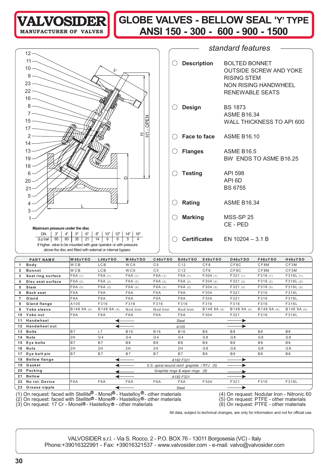

# **GLOBE VALVES - BELLOW SEAL ' Y' TYPE ANSI 150 - 300 - 600 - 900 - 1500**

|                                                                                                                                   |               |                     | standard features             |
|-----------------------------------------------------------------------------------------------------------------------------------|---------------|---------------------|-------------------------------|
| $12 -$                                                                                                                            |               |                     |                               |
| $11 -$                                                                                                                            | ( )           | <b>Description</b>  | <b>BOLTED BONNET</b>          |
| $10 -$<br>レ                                                                                                                       |               |                     | <b>OUTSIDE SCREW AND YOKE</b> |
| $9 -$                                                                                                                             |               |                     | <b>RISING STEM</b>            |
| 23 <sup>5</sup>                                                                                                                   |               |                     | <b>NON RISING HANDWHEEL</b>   |
| $22 -$                                                                                                                            |               |                     | <b>RENEWABLE SEATS</b>        |
| $16-$                                                                                                                             |               |                     |                               |
| $8 -$                                                                                                                             |               |                     |                               |
|                                                                                                                                   | ( )           | <b>Design</b>       | <b>BS 1873</b>                |
| $\overline{15}$                                                                                                                   |               |                     | <b>ASME B16.34</b>            |
| OPEN<br>$17 -$                                                                                                                    |               |                     | WALL THICKNESS TO API 600     |
| I<br>王<br>$\mathcal{P}$                                                                                                           |               |                     |                               |
|                                                                                                                                   | $($ )         | <b>Face to face</b> | <b>ASME B16.10</b>            |
| $14 -$                                                                                                                            |               |                     |                               |
| $13 -$                                                                                                                            | $($ )         | <b>Flanges</b>      | <b>ASME B16.5</b>             |
| $19 -$                                                                                                                            |               |                     | BW ENDS TO ASME B16.25        |
| $18 -$                                                                                                                            |               |                     |                               |
| $6 -$<br>∩                                                                                                                        |               | <b>Testing</b>      | <b>API 598</b>                |
| $20 -$                                                                                                                            |               |                     | API <sub>6D</sub>             |
| $21 -$                                                                                                                            |               |                     | <b>BS 6755</b>                |
| $5 -$                                                                                                                             |               |                     |                               |
| $\overline{4}$                                                                                                                    | <b>Rating</b> |                     | <b>ASME B16.34</b>            |
| 3                                                                                                                                 |               |                     |                               |
|                                                                                                                                   | $($ )         | <b>Marking</b>      | MSS-SP 25                     |
| Maximum pressure under the disc                                                                                                   |               |                     | CE - PED                      |
| 3"<br>4"<br>5"<br>6"<br>8"<br>10"<br>12"<br>14"<br><b>DN</b><br>16"                                                               |               |                     |                               |
| $\overline{\mathbf{A}}$<br>$\overline{5}$<br>21<br>14<br>6<br>85<br>60<br>35<br>9<br>$\Delta p$ bar                               |               | <b>Certificates</b> | EN $10204 - 3.1 B$            |
| If higher, valve to be mounted with gear operator or with pressure<br>above the disc and fitted with external or internal bypass. |               |                     |                               |
|                                                                                                                                   |               |                     |                               |

|    | <b>PART NAME</b>                                                                                                 | W46xYSO          | L46xYSO          | <b>M46xYSO</b>   | C46xYSO                                     | B46xYSO                          | E46xYSO        | <b>D46xYSO</b> | <b>F46xYSO</b> | H46xYSO                                    |
|----|------------------------------------------------------------------------------------------------------------------|------------------|------------------|------------------|---------------------------------------------|----------------------------------|----------------|----------------|----------------|--------------------------------------------|
|    | Body                                                                                                             | W <sub>CB</sub>  | <b>LCB</b>       | WC6              | C <sub>5</sub>                              | C <sub>12</sub>                  | CF8            | CF8C           | CF8M           | CF3M                                       |
| 2  | <b>Bonnet</b>                                                                                                    | W <sub>CB</sub>  | <b>LCB</b>       | WC6              | C <sub>5</sub>                              | C <sub>12</sub>                  | CF8            | CF8C           | CF8M           | CF3M                                       |
| 3  | Seat ring surface                                                                                                | F6A(1)           | F6A(1)           | F6A(1)           | F6A(1)                                      | F6A(1)                           | F304(1)        | F321(1)        | F316(1)        | F316L(1)                                   |
| 4  | Disc seat surface                                                                                                | F6A(2)           | F6A(2)           | F6A(2)           | F6A(2)                                      | F6A(2)                           | F304(2)        | F321(2)        | F316(2)        | F316L(2)                                   |
| 5  | Stem                                                                                                             | F6A(3)           | F6A(3)           | F6A(3)           | F6A(3)                                      | F6A(3)                           | F304(3)        | F321(3)        | F316(3)        | F316L(3)                                   |
| 6  | <b>Back seat</b>                                                                                                 | F <sub>6</sub> A | F <sub>6</sub> A | F <sub>6</sub> A | F <sub>6</sub> A                            | F6A                              | F304           | F321           | F316           | F316L                                      |
| 7  | Gland                                                                                                            | F <sub>6</sub> A | F6A              | F6A              | F6A                                         | F6A                              | F304           | F321           | F316           | F316L                                      |
| 8  | Gland flange                                                                                                     | A105             | F316             | F316             | F316                                        | F316                             | F316           | F316           | F316           | F316L                                      |
| 9  | Yoke sleeve                                                                                                      | B148 9A (4)      | B148 9A (4)      | Nod.Iron         | Nod.Iron                                    | Nod.Iron                         | B148 9A (4)    | B148 9A (4)    | B148 9A (4)    | B148 9A (4)                                |
| 10 | Yoke nut                                                                                                         | F6A              | F6A              | F6A              | F6A                                         | F6A                              | F304           | F321           | F316           | F316L                                      |
| 11 | Handwheel                                                                                                        |                  |                  |                  |                                             | <b>Steel</b>                     |                |                |                |                                            |
| 12 | <b>Handwheelnut</b>                                                                                              |                  | ◀                |                  |                                             | A105                             |                |                |                |                                            |
| 13 | <b>Bolts</b>                                                                                                     | <b>B7</b>        | L7               | <b>B16</b>       | <b>B16</b>                                  | <b>B16</b>                       | <b>B8</b>      | <b>B8</b>      | <b>B8</b>      | <b>B8</b>                                  |
| 14 | <b>Nuts</b>                                                                                                      | 2H               | G <sub>4</sub>   | G <sub>4</sub>   | G4                                          | G <sub>4</sub>                   | G <sub>8</sub> | G <sub>8</sub> | G <sub>8</sub> | G8                                         |
| 15 | Eye bolts                                                                                                        | <b>B7</b>        | <b>B7</b>        | <b>B8</b>        | <b>B8</b>                                   | <b>B8</b>                        | <b>B8</b>      | <b>B8</b>      | <b>B8</b>      | <b>B8</b>                                  |
| 16 | <b>Nuts</b>                                                                                                      | 2H               | 2H               | 2H               | 2H                                          | 2H                               | G <sub>8</sub> | G <sub>8</sub> | G <sub>8</sub> | G8                                         |
| 17 | Eye bolt pin                                                                                                     | <b>B7</b>        | <b>B7</b>        | <b>B7</b>        | <b>B7</b>                                   | <b>B7</b>                        | <b>B8</b>      | <b>B8</b>      | <b>B8</b>      | <b>B8</b>                                  |
| 18 | <b>Bellow flange</b>                                                                                             |                  |                  |                  |                                             | A182 F321                        |                |                |                |                                            |
| 19 | Gasket                                                                                                           |                  |                  |                  | S.S. spiral wound reinf. graphite / RTJ (5) |                                  |                |                |                |                                            |
| 20 | Packing                                                                                                          |                  |                  |                  |                                             | Graphite rings & wiper rings (6) |                |                |                |                                            |
| 21 | <b>Bellow</b>                                                                                                    |                  |                  |                  |                                             | A182 F321                        |                |                |                |                                            |
| 22 | No rot. Device                                                                                                   | F <sub>6</sub> A | F6A              | F6A              | F6A                                         | F6A                              | F304           | F321           | F316           | F316L                                      |
| 23 | Grease nipple                                                                                                    |                  |                  |                  |                                             | <b>Steel</b>                     |                |                |                |                                            |
|    | (1) On request: faced with Stellite <sup>®</sup> - Monel <sup>®</sup> - Hastelloy <sup>®</sup> - other materials |                  |                  |                  |                                             |                                  |                |                |                | (4) On request: Nodular Iron - Nitronic 60 |

(2) On request: faced with Stellite® - Monel® - Hastelloy®- other materials (5) On request: PTFE - other materials

(3) On request: 17 Cr - Monel®- Hastelloy® - other materials (6) On request: PTFE - other materials

All data, subject to technical changes, are only for information and not for official use.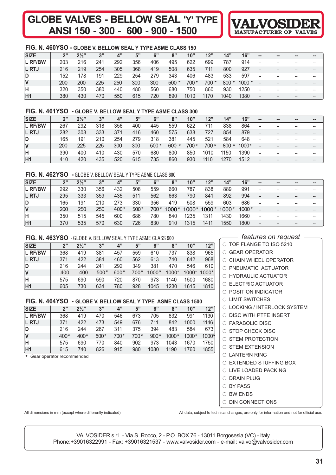# **GLOBE VALVES - BELLOW SEAL ' ANSI 150 - 300 - 600 - 900 - 1500**



#### **FIG. N. 460YSO - GLOBE V. BELLOW SEAL Y TYPE ASME CLASS 150**

| <b>SIZE</b>    | 2"  | $2\frac{1}{2}$ | 3"  | 4"  | 5"  | 6"  | 8"     | 10"  | 12"   | 14"    | 16"     | $\sim$ | $\sim$ | $\qquad \qquad \blacksquare$ | $\sim$ |
|----------------|-----|----------------|-----|-----|-----|-----|--------|------|-------|--------|---------|--------|--------|------------------------------|--------|
| <b>L RF/BW</b> | 203 | 216            | 241 | 292 | 356 | 406 | 495    | 622  | 699   | 787    | 914     | $- -$  | --     |                              |        |
| <b>L</b> RTJ   | 216 | 219            | 254 | 305 | 368 | 419 | 508    | 635  | 711   | 800    | 927     | --     | --     |                              |        |
| D              | 152 | 178            | 191 | 229 | 254 | 279 | 343    | 406  | 483   | 533    | 597     | $- -$  | --     | --                           |        |
|                | 200 | 200            | 225 | 250 | 300 | 300 | $500*$ | 700* | 700 * | $800*$ | $1000*$ |        |        |                              |        |
| н              | 320 | 350            | 380 | 440 | 480 | 560 | 680    | 750  | 860   | 930    | 1250    | $- -$  | --     |                              | $- -$  |
| H <sub>1</sub> | 380 | 430            | 470 | 550 | 615 | 720 | 890    | 1010 | 1170  | 1040   | 1380    |        |        |                              |        |

#### **FIG. N. 461YSO - GLOBE V. BELLOW SEAL Y TYPE ASME CLASS 300**

| <b>SIZE</b>    | 2"  | $2^{1/2}$ | 3"  | 4"  | 5"  | 6"     | 8"      | 10"   | 12"   | 14"     | 16"   | $\sim$                 | $\sim$ | -- | $= -$ |
|----------------|-----|-----------|-----|-----|-----|--------|---------|-------|-------|---------|-------|------------------------|--------|----|-------|
| <b>L RF/BW</b> | 267 | 292       | 318 | 356 | 400 | 445    | 559     | 622   | 711   | 838     | 864   | $\hspace{0.05cm}$      | --     |    | --    |
| <b>L RTJ</b>   | 282 | 308       | 333 | 371 | 416 | 460    | 575     | 638   | 727   | 854     | 879   | $\qquad \qquad \cdots$ | --     |    | $- -$ |
| D              | 165 | 191       | 210 | 254 | 279 | 318    | 381     | 445   | 521   | 584     | 648   | --                     |        |    | --    |
|                | 200 | 225       | 225 | 300 | 300 | $500*$ | $600 *$ | 700 * | 700 * | $800 *$ | 1000* |                        |        |    | $- -$ |
| н              | 390 | 400       | 410 | 430 | 570 | 680    | 800     | 850   | 1010  | 1150    | 1390  | $- -$                  |        |    | --    |
| H1             | 410 | 420       | 435 | 520 | 615 | 735    | 860     | 930   | 1110  | 1270    | 1512  | $-$                    | --     |    | $- -$ |

#### **FIG. N. 462YSO -** GLOBE V. BELLOW SEAL Y TYPE ASME CLASS 600

| <b>SIZE</b>  | ייכ | $2\frac{1}{2}$ | 2"  | 4"   | 5"     | 6"   | 8"    | 10"   | 12"   | 14"   | 16"   | $\sim$ | $\sim$ | $\sim$ | -- |
|--------------|-----|----------------|-----|------|--------|------|-------|-------|-------|-------|-------|--------|--------|--------|----|
| L RF/BW      | 292 | 330            | 356 | 432  | 508    | 559  | 660   | 787   | 838   | 889   | 991   | $- -$  |        |        | -- |
| <b>L RTJ</b> | 295 | 333            | 359 | 435  | 511    | 562  | 663   | 790   | 841   | 892   | 994   | $- -$  |        |        | -- |
| ID.          | 165 | 191            | 210 | 273  | 330    | 356  | 419   | 508   | 559   | 603   | 686   | $- -$  |        |        |    |
| ΙV           | 200 | 250            | 250 | 400* | $500*$ | 700* | 1000* | 1000* | 1000* | 1000* | 1000* |        |        |        | -- |
| ΙH           | 350 | 515            | 545 | 600  | 686    | 780  | 840   | 1235  | 1311  | 1430  | 1660  | $- -$  |        |        | -- |
| H1           | 370 | 535            | 570 | 630  | 726    | 830  | 910   | 1315  | 1411  | 1550  | 1800  | $- -$  |        |        | -- |

#### **FIG. N. 463YSO** - GLOBE V. BELLOW SEAL Y TYPE ASME CLASS 900

| <b>SIZE</b>    | ን"  | $2\frac{1}{2}$ | 3"     | 4"     | 5"     | 6"      | 8"    | 10"   | 12"     |
|----------------|-----|----------------|--------|--------|--------|---------|-------|-------|---------|
| <b>L RF/BW</b> | 368 | 419            | 381    | 457    | 559    | 610     | 737   | 838   | 965     |
| <b>L RTJ</b>   | 371 | 422            | 384    | 460    | 562    | 613     | 740   | 842   | 968     |
| ID             | 216 | 244            | 241    | 292    | 349    | 381     | 470   | 546   | 610     |
| <b>V</b>       | 400 | 400            | $500*$ | $600*$ | $700*$ | $1000*$ | 1000* | 1000* | $1000*$ |
| ΙH             | 575 | 690            | 590    | 720    | 870    | 973     | 1140  | 1500  | 1680    |
| H1             | 605 | 730            | 634    | 780    | 928    | 1045    | 1230  | 1615  | 1810    |

#### **FIG. N. 464YSO - GLOBE V. BELLOW SEAL Y TYPE ASME CLASS 1500**

| <b>SIZE</b>    | 2"     | $2\frac{1}{3}$ | 3"     | 4"   | 5"   | 6"     | 8"      | 10"     | 12"   |
|----------------|--------|----------------|--------|------|------|--------|---------|---------|-------|
| <b>L RF/BW</b> | 368    | 419            | 470    | 546  | 673  | 705    | 832     | 991     | 1130  |
| <b>L RTJ</b>   | 371    | 422            | 473    | 549  | 676  | 711    | 842     | 1000    | 1146  |
| D              | 216    | 244            | 267    | 311  | 375  | 394    | 483     | 584     | 673   |
| <b>V</b>       | $400*$ | $400*$         | $500*$ | 700* | 700* | $900*$ | $1000*$ | $1000*$ | 1000* |
| ΙH             | 575    | 690            | 770    | 840  | 902  | 973    | 1043    | 1670    | 1750  |
| H1             | 615    | 740            | 826    | 915  | 980  | 1080   | 1190    | 1760    | 1855  |

\* Gear operator recommended

#### *features on request*

| $\circ$ TOP FLANGE TO ISO 5210  |
|---------------------------------|
| $\cap$ GEAR OPERATOR            |
| $\bigcirc$ CHAIN WHEEL OPERATOR |
| O PNEUMATIC ACTUATOR            |
| O HYDRAULIC ACTUATOR            |
| $\circ$ FLECTRIC ACTUATOR       |
| $\cap$ position indicator       |
| $\circ$ limit switches          |
| ○ LOCKING / INTERLOCK SYSTEM    |
| $\circ$ DISC WITH PTFE INSERT   |
| $\circ$ PARABOLIC DISC          |
| $\circ$ STOP CHECK DISC         |
| $\circ$ STEM PROTECTION         |
| $\circ$ STEM EXTENSION          |
| $\cap$ LANTERN RING             |
| ○ EXTENDED STUFFING BOX         |
| ○ LIVE LOADED PACKING           |
| $\circ$ drain plug              |
| $\cap$ BY PASS                  |
| $\circ$ BW ENDS                 |
| <b>DIN CONNECTIONS</b><br>∩     |

All dimensions in mm (except where differently indicated) <br>All data, subject to technical changes, are only for information and not for official use.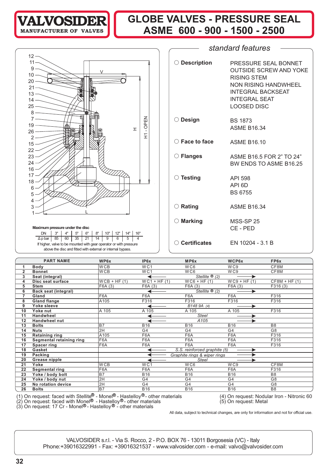

# **GLOBE VALVES - PRESSURE SEAL ASME 600 - 900 - 1500 - 2500**



|    | <b>PART NAME</b>                                                                                                       | WP6x                       | IP <sub>6x</sub> | MP6x                         | WCP6x           | FP6x                                       |  |  |  |
|----|------------------------------------------------------------------------------------------------------------------------|----------------------------|------------------|------------------------------|-----------------|--------------------------------------------|--|--|--|
|    | <b>Body</b>                                                                                                            | <b>WCB</b>                 | WC1              | W <sub>C6</sub>              | W <sub>C9</sub> | CF8M                                       |  |  |  |
| 2  | <b>Bonnet</b>                                                                                                          | <b>WCB</b>                 | WC1              | WC6                          | WC9             | CF8M                                       |  |  |  |
| 3  | Seat (integral)                                                                                                        |                            |                  | Stellite $\mathcal{D}(2)$    |                 |                                            |  |  |  |
| 4  | Disc seat surface                                                                                                      | $WCB + HF(1)$              | $WC1 + HF (1)$   | $WCG + HF (1)$               | $WC9 + HF (1)$  | $CF8M + HF(1)$                             |  |  |  |
| 5  | <b>Stem</b>                                                                                                            | F6A(3)                     | F6A(3)           | F6A (3)                      | F6A(3)          | F316(3)                                    |  |  |  |
| 6  | Back seat (integral)                                                                                                   |                            |                  | Stellite $\mathcal{B}(2)$    |                 |                                            |  |  |  |
| 7  | Gland                                                                                                                  | F6A                        | F6A              | F6A                          | F6A             | F316                                       |  |  |  |
| 8  | <b>Gland flange</b>                                                                                                    | A105                       | F316             | F316                         | F316            | F316                                       |  |  |  |
| 9  | Yoke sleeve                                                                                                            |                            |                  | B148 9A (4)                  |                 |                                            |  |  |  |
| 10 | Yoke nut                                                                                                               | A 105                      | A 105            | A 105                        | A 105           | F316                                       |  |  |  |
| 11 | <b>Handwheel</b>                                                                                                       |                            |                  | <b>Steel</b>                 |                 |                                            |  |  |  |
| 12 | <b>Handwheel nut</b>                                                                                                   |                            |                  | A <sub>105</sub>             |                 |                                            |  |  |  |
| 13 | <b>Bolts</b>                                                                                                           | B7                         | <b>B16</b>       | <b>B16</b>                   | <b>B16</b>      | B <sub>8</sub>                             |  |  |  |
| 14 | <b>Nuts</b>                                                                                                            | $\overline{\overline{2H}}$ | G4               | G4                           | G4              | G8                                         |  |  |  |
| 15 | <b>Retaining ring</b>                                                                                                  | A105                       | F6A              | F6A                          | F6A             | F316                                       |  |  |  |
| 16 | Segmental retaining ring                                                                                               | F6A                        | F6A              | F6A                          | F6A             | F316                                       |  |  |  |
| 17 | <b>Spacer ring</b>                                                                                                     | F6A                        | F6A              | F6A                          | F6A             | F316                                       |  |  |  |
| 18 | Gasket                                                                                                                 |                            |                  | S.S. reinforced graphite (5) |                 |                                            |  |  |  |
| 19 | Packing                                                                                                                |                            |                  | Graphite rings & wiper rings |                 |                                            |  |  |  |
| 20 | Grease nipple                                                                                                          |                            |                  | <b>Steel</b>                 |                 |                                            |  |  |  |
| 21 | Yoke                                                                                                                   | <b>WCB</b>                 | WC1              | WC6                          | WC9             | CF8M                                       |  |  |  |
| 22 | Segmental ring                                                                                                         | F6A                        | F6A              | F6A                          | F6A             | F316                                       |  |  |  |
| 23 | Yoke / body bolt                                                                                                       | B7                         | <b>B16</b>       | <b>B16</b>                   | <b>B16</b>      | B <sub>8</sub>                             |  |  |  |
| 24 | Yoke / body nut                                                                                                        | 2H                         | G4               | G4                           | G4              | G <sub>8</sub>                             |  |  |  |
| 25 | No rotation device                                                                                                     | 2H                         | G4               | G4                           | G4              | G <sub>8</sub>                             |  |  |  |
| 26 | <b>Bolts</b>                                                                                                           | B7                         | <b>B16</b>       | <b>B16</b>                   | <b>B16</b>      | B <sub>8</sub>                             |  |  |  |
|    | (1) On request: faced with Stellite $^{\circledR}$ - Monel $^{\circledR}$ - Hastelloy $^{\circledR}$ - other materials |                            |                  |                              |                 | (4) On request: Nodular Iron - Nitronic 60 |  |  |  |

(2) On request: faced with Monel® - Hastelloy®- other materials  $(5)$  On request: Metal (3) On request: 17 Cr - Monel®- Hastelloy® - other materials

All data, subject to technical changes, are only for information and not for official use.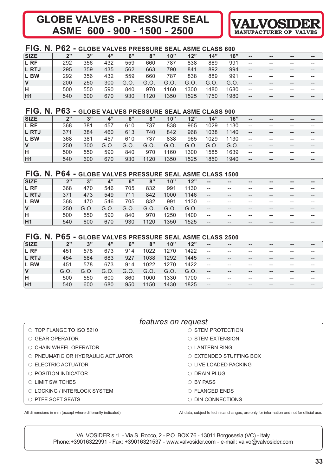# **GLOBE VALVES - PRESSURE SEAL ASME 600 - 900 - 1500 - 2500**



# **FIG. N. P62 - GLOBE VALVES PRESSURE SEAL ASME CLASS 600**

| <b>SIZE</b>    | ייפ | 2"  | 4"  | 6"  | 8"   | 10"  | 12"  | 14"  | 16"  | $\sim$ $\sim$            | $\qquad \qquad \blacksquare$ | $\sim$ | $\sim$ $-$ |
|----------------|-----|-----|-----|-----|------|------|------|------|------|--------------------------|------------------------------|--------|------------|
| L RF           | 292 | 356 | 432 | 559 | 660  | 787  | 838  | 889  | 991  | $- -$                    | $- -$                        | $- -$  | --         |
| <b>L RTJ</b>   | 295 | 359 | 435 | 562 | 663  | 790  | 841  | 892  | 994  | $\qquad \qquad -$        | $- -$                        | $- -$  | --         |
| L BW           | 292 | 356 | 432 | 559 | 660  | 787  | 838  | 889  | 991  | $- -$                    | $- -$                        | $- -$  | --         |
| $\mathsf{V}$   | 200 | 250 | 300 | G.O | G.O. | G.O. | G.O. | G.O. | G.O. | $\qquad \qquad -$        | $- -$                        | $- -$  | --         |
| ΙH             | 500 | 550 | 590 | 840 | 970  | 1160 | 1300 | 1480 | 1680 | $\overline{\phantom{m}}$ | $- -$                        | $- -$  | --         |
| H <sub>1</sub> | 540 | 600 | 670 | 930 | 1120 | 1350 | 1525 | 1750 | 1980 | $\qquad \qquad -$        | $- -$                        | $- -$  |            |

# **FIG. N. P63 - GLOBE VALVES PRESSURE SEAL ASME CLASS 900**

| <b>SIZE</b>    | ייפ | 3"  | 4"  | 6"   | 8"   | 10"  | 12"  | 14"  | 16"  | $\sim$ $\sim$            | $\qquad \qquad \blacksquare$ | $\sim$ $\sim$                         | $\sim$ $\sim$ |
|----------------|-----|-----|-----|------|------|------|------|------|------|--------------------------|------------------------------|---------------------------------------|---------------|
| L RF           | 368 | 381 | 457 | 610  | 737  | 838  | 965  | 1029 | 1130 | $\overline{\phantom{a}}$ | --                           | --                                    | --            |
| L RTJ          | 371 | 384 | 460 | 613  | 740  | 842  | 968  | 1038 | 1140 | $--$                     | $- -$                        | $- -$                                 | $- -$         |
| L BW           | 368 | 381 | 457 | 610  | 737  | 838  | 965  | 1029 | 1130 | $- -$                    | $- -$                        | $- -$                                 | $- -$         |
| $\mathsf{V}$   | 250 | 300 | G.O | G.O. | G.O. | G.O. | G.O. | G.O. | G.O. | $- -$                    | $- -$                        | $\hspace{0.05cm}$ – $\hspace{0.05cm}$ | $- -$         |
| ΙH             | 500 | 550 | 590 | 840  | 970  | 1160 | 1300 | 1585 | 1639 | $\overline{\phantom{a}}$ | --                           | $- -$                                 | $- -$         |
| H <sub>1</sub> | 540 | 600 | 670 | 930  | 1120 | 1350 | 1525 | 1850 | 1940 | $- -$                    | $- -$                        | $- -$                                 | --            |

# **FIG. N. P64 - GLOBE VALVES PRESSURE SEAL ASME CLASS 1500**

| <b>SIZE</b>  | ייפ | 3"   | 4"   | 6"   | 8"   | 10"  | 12"  | $\sim$ $-$ | $\sim$ $\sim$ | $\sim$ $-$ | $\sim$ $\sim$ | $\sim$ $\sim$ | -- |
|--------------|-----|------|------|------|------|------|------|------------|---------------|------------|---------------|---------------|----|
| L RF         | 368 | 470  | 546  | 705  | 832  | 991  | 1130 | --         | $- -$         | $- -$      | --            |               |    |
| L RTJ        | 371 | 473  | 549  | 711  | 842  | 1000 | 1146 | --         | $- -$         | $- -$      | $- -$         |               | -- |
| L BW         | 368 | 470  | 546  | 705  | 832  | 991  | 1130 | --         | $- -$         | $- -$      | --            |               | -- |
| $\mathsf{V}$ | 250 | G.O. | G.O. | G.O. | G.O. | G.O. | G.O. | --         | $- -$         | $- -$      | --            | $- -$         |    |
| İΗ           | 500 | 550  | 590  | 840  | 970  | 1250 | 1400 | --         | $- -$         | $- -$      | --            |               | -- |
| <b>H1</b>    | 540 | 600  | 670  | 930  | 1120 | 1350 | 1525 | $- -$      | $- -$         | $- -$      | $- -$         | $- -$         | -- |

# **FIG. N. P65 - GLOBE VALVES PRESSURE SEAL ASME CLASS 2500**

| <b>SIZE</b>            | ייר | 3"   | 4"   | 6"   | 8"   | 10"  | 12"  | $\sim$ $-$ | $\sim$ | $\sim$ $\sim$ | $\sim$ $\sim$ | $\sim$ | $\qquad \qquad \blacksquare$ |
|------------------------|-----|------|------|------|------|------|------|------------|--------|---------------|---------------|--------|------------------------------|
| L RF                   | 451 | 578  | 673  | 914  | 1022 | 1270 | 1422 | --         | --     | $- -$         | --            |        | --                           |
| L RTJ                  | 454 | 584  | 683  | 927  | 1038 | 1292 | 1445 | $- -$      | --     | $- -$         | --            | --     | $- -$                        |
| L BW                   | 451 | 578  | 673  | 914  | 1022 | 1270 | 1422 | $- -$      | --     | $- -$         | --            | --     | $- -$                        |
| $\mathsf{I}\mathsf{V}$ | G.O | G.O. | G.O. | G.O. | G.O  | G.O. | G.O. | $- -$      | $- -$  | $- -$         | $- -$         | --     | $- -$                        |
| H                      | 500 | 550  | 600  | 860  | 1000 | 1330 | 1700 | $- -$      | --     | $- -$         | --            |        | --                           |
| H <sub>1</sub>         | 540 | 600  | 680  | 950  | 1150 | 1430 | 1825 | $- -$      | --     | $- -$         | --            | --     | $- -$                        |

|                                   | <i>features on request</i>     |
|-----------------------------------|--------------------------------|
| $\circ$ TOP FLANGE TO ISO 5210    | $\circ$ stem protection        |
| ○ GEAR OPERATOR                   | $\circ$ STEM EXTENSION         |
| ○ CHAIN WHEEL OPERATOR            | $\circ$ LANTERN RING           |
| ○ PNEUMATIC OR HYDRAULIC ACTUATOR | $\circ$ EXTENDED STUFFING BOX  |
| $\circ$ ELECTRIC ACTUATOR         | $\bigcirc$ LIVE LOADED PACKING |
| $\circ$ POSITION INDICATOR        | $\bigcirc$ DRAIN PLUG          |
| O LIMIT SWITCHES                  | ○ BY PASS                      |
| O LOCKING / INTERLOCK SYSTEM      | $\bigcirc$ FLANGED ENDS        |
| O PTFE SOFT SEATS                 | DIN CONNECTIONS                |

All dimensions in mm (except where differently indicated) All data, subject to technical changes, are only for information and not for official use.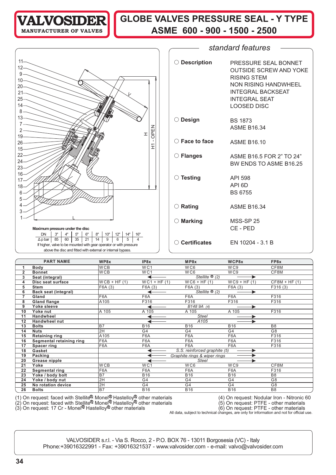

# **VALVOSIDER** GLOBE VALVES PRESSURE SEAL - Y TYPE **ASME 600 - 900 - 1500 - 2500**

|                                                                                                        |                                  | standard features                                   |
|--------------------------------------------------------------------------------------------------------|----------------------------------|-----------------------------------------------------|
|                                                                                                        |                                  |                                                     |
| $11 -$<br>$12 -$                                                                                       | ○ Description                    | PRESSURE SEAL BONNET                                |
| $9 -$                                                                                                  |                                  | <b>OUTSIDE SCREW AND YOKE</b><br><b>RISING STEM</b> |
| $10 -$<br>$20 -$                                                                                       |                                  | <b>NON RISING HANDWHEEL</b>                         |
| $21 -$                                                                                                 |                                  | <b>INTEGRAL BACKSEAT</b>                            |
| $25 -$                                                                                                 |                                  | <b>INTEGRAL SEAT</b>                                |
| 14.                                                                                                    |                                  | <b>LOOSED DISC</b>                                  |
| 8                                                                                                      |                                  |                                                     |
| $13-$                                                                                                  | ◯ Design                         | <b>BS 1873</b>                                      |
|                                                                                                        |                                  | <b>ASME B16.34</b>                                  |
| OPEN<br>$2 -$<br>I<br>$19 -$                                                                           |                                  |                                                     |
| $\blacksquare$<br>$26 -$                                                                               | $\bigcirc$ Face to face          | <b>ASME B16.10</b>                                  |
| Ξ<br>$15 -$                                                                                            |                                  |                                                     |
| $22 -$                                                                                                 | ◯ Flanges                        | ASME B16.5 FOR 2" TO 24"                            |
| $24-$                                                                                                  |                                  | BW ENDS TO ASME B16.25                              |
| $23 -$                                                                                                 |                                  |                                                     |
| $16-$                                                                                                  | ◯ Testing                        | API 598                                             |
| $17 -$                                                                                                 |                                  | API 6D                                              |
| $18 -$<br>6                                                                                            |                                  | <b>BS 6755</b>                                      |
| 5.                                                                                                     |                                  |                                                     |
|                                                                                                        | $\bigcirc$ Rating                | <b>ASME B16.34</b>                                  |
|                                                                                                        |                                  |                                                     |
|                                                                                                        |                                  |                                                     |
|                                                                                                        | $\bigcirc$ Marking               | MSS-SP 25                                           |
| Maximum pressure under the disc<br>8"<br>12"<br>14"<br><b>DN</b><br>3"<br>4"<br>5"<br>6"<br>10"<br>16" |                                  | CE - PED                                            |
| 85<br>60<br>35<br>9<br>21<br>14<br>6<br>5<br>$\Delta p$ bar<br>4                                       |                                  |                                                     |
| If higher, valve to be mounted with gear operator or with pressure                                     | $\circlearrowright$ Certificates | EN 10204 - 3.1 B                                    |
| above the disc and fitted with external or internal bypass.                                            |                                  |                                                     |
|                                                                                                        |                                  |                                                     |

|                | <b>PART NAME</b>            | WP8x            | IP8x            | MP8x                                 | WCP8x           | FP8x           |
|----------------|-----------------------------|-----------------|-----------------|--------------------------------------|-----------------|----------------|
|                | <b>Body</b>                 | <b>WCB</b>      | WC <sub>1</sub> | WC <sub>6</sub>                      | W <sub>C9</sub> | CF8M           |
| 2              | <b>Bonnet</b>               | <b>WCB</b>      | WC1             | WC <sub>6</sub>                      | WC9             | CF8M           |
| 3              | Seat (integral)             |                 |                 | Stellite $\mathcal{B}(2)$            |                 |                |
| 4              | Disc seat surface           | $WCB + HF (1)$  | $WC1 + HF (1)$  | $WCG + HF (1)$                       | $WC9 + HF (1)$  | $CF8M + HF(1)$ |
| 5              | <b>Stem</b>                 | F6A (3)         | F6A (3)         | F6A (3)                              | F6A(3)          | F316(3)        |
| 6              | <b>Back seat (integral)</b> |                 |                 | Stellite $\overline{\mathcal{O}(2)}$ | ▶               |                |
| $\overline{7}$ | Gland                       | F6A             | F6A             | F6A                                  | F6A             | F316           |
| 8              | <b>Gland flange</b>         | A105            | F316            | F316                                 | F316            | F316           |
| 9              | Yoke sleeve                 |                 |                 | B148 9A (4)                          | ▶               |                |
| 10             | Yoke nut                    | A 105           | A 105           | A 105                                | A 105           | F316           |
| 11             | <b>Handwheel</b>            |                 |                 | <b>Steel</b>                         |                 |                |
| 12             | <b>Handwheel nut</b>        |                 |                 | A <sub>105</sub>                     |                 |                |
| 13             | <b>Bolts</b>                | <b>B7</b>       | <b>B16</b>      | <b>B16</b>                           | <b>B16</b>      | B <sub>8</sub> |
| 14             | <b>Nuts</b>                 | 2H              | G <sub>4</sub>  | G4                                   | G4              | G <sub>8</sub> |
| 15             | <b>Retaining ring</b>       | A105            | F6A             | F6A                                  | F6A             | F316           |
| 16             | Segmental retaining ring    | F6A             | F6A             | F6A                                  | F6A             | F316           |
| 17             | Spacer ring                 | F6A             | F6A             | F6A                                  | F6A             | F316           |
| 18             | Gasket                      |                 |                 | S.S. reinforced graphite (5)         |                 |                |
| 19             | Packing                     |                 |                 | Graphite rings & wiper rings         |                 |                |
| 20             | Grease nipple               |                 |                 | <b>Steel</b>                         |                 |                |
| 21             | Yoke                        | W <sub>CB</sub> | W <sub>C1</sub> | WC <sub>6</sub>                      | WC9             | CF8M           |
| 22             | Segmental ring              | F6A             | F6A             | F6A                                  | F6A             | F316           |
| 23             | Yoke / body bolt            | <b>B7</b>       | <b>B16</b>      | <b>B16</b>                           | <b>B16</b>      | B <sub>8</sub> |
| 24             | Yoke / body nut             | 2H              | G4              | G4                                   | G4              | G <sub>8</sub> |
| 25             | No rotation device          | 2H              | G <sub>4</sub>  | G4                                   | G4              | G8             |
| 26             | <b>Bolts</b>                | B7              | <b>B16</b>      | <b>B16</b>                           | <b>B16</b>      | B <sub>8</sub> |

(1) On request: faced with Stellite $^{\mathbb{R}}$  Monel $^{\mathbb{Q}}$  Hastelloy $^{\mathbb{Q}}$  other materials (4) On request: Nodular Iron - Nitronic 60

(2) On request: faced with Stellite<sup>ng</sup> Monel<sup>io</sup> Hastelloy<sup>lo</sup> other materials (5) On request: PTFE - other materials

All data, subject to technical changes, are only for information and not for official use.<br>All data, subject to technical changes, are only for information and not for official use.

(3) On request: 17 Cr - Monel $^\circledR$  Hastelloy $^\circledR$  other materials  $\hspace{1cm}$  (6) On request: PTFE - other materials